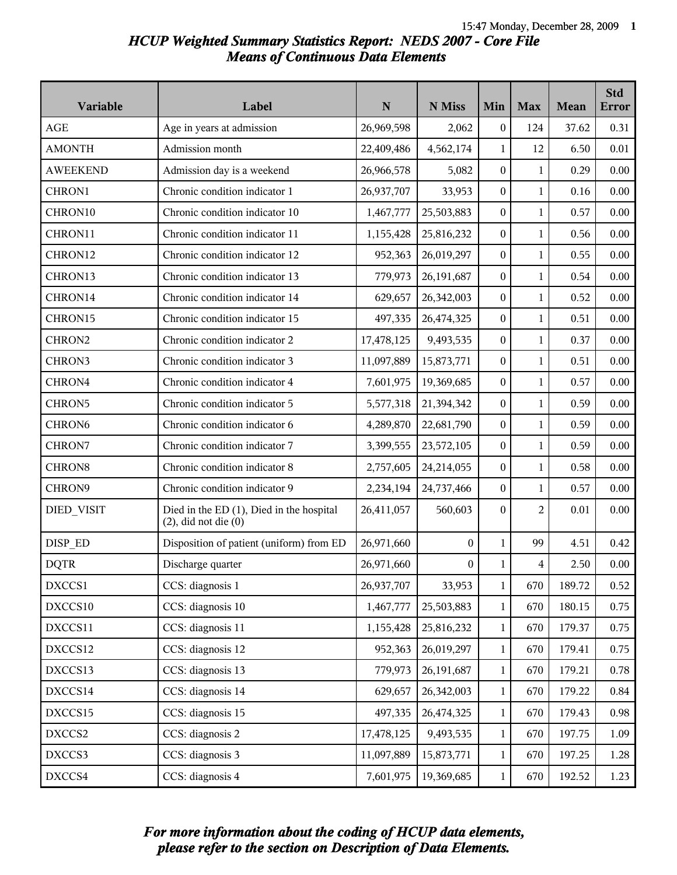# *HCUP Weighted Summary Statistics Report: NEDS 2007 - Core File Means of Continuous Data Elements*

| Variable           | Label                                                                 | ${\bf N}$  | N Miss           | Min              | <b>Max</b>     | <b>Mean</b> | <b>Std</b><br><b>Error</b> |
|--------------------|-----------------------------------------------------------------------|------------|------------------|------------------|----------------|-------------|----------------------------|
| AGE                | Age in years at admission                                             | 26,969,598 | 2,062            | $\boldsymbol{0}$ | 124            | 37.62       | 0.31                       |
| <b>AMONTH</b>      | Admission month                                                       | 22,409,486 | 4,562,174        | $\mathbf{1}$     | 12             | 6.50        | 0.01                       |
| <b>AWEEKEND</b>    | Admission day is a weekend                                            | 26,966,578 | 5,082            | $\boldsymbol{0}$ | $\mathbf{1}$   | 0.29        | 0.00                       |
| CHRON1             | Chronic condition indicator 1                                         | 26,937,707 | 33,953           | 0                | $\mathbf{1}$   | 0.16        | 0.00                       |
| CHRON10            | Chronic condition indicator 10                                        | 1,467,777  | 25,503,883       | 0                | $\mathbf{1}$   | 0.57        | 0.00                       |
| CHRON11            | Chronic condition indicator 11                                        | 1,155,428  | 25,816,232       | $\boldsymbol{0}$ | $\mathbf{1}$   | 0.56        | 0.00                       |
| CHRON12            | Chronic condition indicator 12                                        | 952,363    | 26,019,297       | $\boldsymbol{0}$ | $\mathbf{1}$   | 0.55        | 0.00                       |
| CHRON13            | Chronic condition indicator 13                                        | 779,973    | 26,191,687       | $\boldsymbol{0}$ | $\mathbf{1}$   | 0.54        | 0.00                       |
| CHRON14            | Chronic condition indicator 14                                        | 629,657    | 26,342,003       | 0                | $\mathbf{1}$   | 0.52        | 0.00                       |
| CHRON15            | Chronic condition indicator 15                                        | 497,335    | 26,474,325       | 0                | $\mathbf{1}$   | 0.51        | 0.00                       |
| CHRON2             | Chronic condition indicator 2                                         | 17,478,125 | 9,493,535        | $\boldsymbol{0}$ | $\mathbf{1}$   | 0.37        | 0.00                       |
| CHRON3             | Chronic condition indicator 3                                         | 11,097,889 | 15,873,771       | $\boldsymbol{0}$ | $\mathbf{1}$   | 0.51        | 0.00                       |
| CHRON4             | Chronic condition indicator 4                                         | 7,601,975  | 19,369,685       | $\boldsymbol{0}$ | $\mathbf{1}$   | 0.57        | 0.00                       |
| CHRON5             | Chronic condition indicator 5                                         | 5,577,318  | 21,394,342       | 0                | $\mathbf{1}$   | 0.59        | 0.00                       |
| CHRON <sub>6</sub> | Chronic condition indicator 6                                         | 4,289,870  | 22,681,790       | $\boldsymbol{0}$ | $\mathbf{1}$   | 0.59        | 0.00                       |
| CHRON7             | Chronic condition indicator 7                                         | 3,399,555  | 23,572,105       | $\boldsymbol{0}$ | $\mathbf{1}$   | 0.59        | 0.00                       |
| CHRON8             | Chronic condition indicator 8                                         | 2,757,605  | 24,214,055       | $\boldsymbol{0}$ | $\mathbf{1}$   | 0.58        | 0.00                       |
| CHRON9             | Chronic condition indicator 9                                         | 2,234,194  | 24,737,466       | $\boldsymbol{0}$ | $\mathbf{1}$   | 0.57        | 0.00                       |
| DIED_VISIT         | Died in the ED (1), Died in the hospital<br>$(2)$ , did not die $(0)$ | 26,411,057 | 560,603          | $\boldsymbol{0}$ | $\overline{2}$ | 0.01        | 0.00                       |
| DISP_ED            | Disposition of patient (uniform) from ED                              | 26,971,660 | 0                | $\mathbf{1}$     | 99             | 4.51        | 0.42                       |
| <b>DQTR</b>        | Discharge quarter                                                     | 26,971,660 | $\boldsymbol{0}$ | 1                | 4              | 2.50        | 0.00                       |
| DXCCS1             | CCS: diagnosis 1                                                      | 26,937,707 | 33,953           | $\mathbf{1}$     | 670            | 189.72      | 0.52                       |
| DXCCS10            | CCS: diagnosis 10                                                     | 1,467,777  | 25,503,883       | $\mathbf{1}$     | 670            | 180.15      | 0.75                       |
| DXCCS11            | CCS: diagnosis 11                                                     | 1,155,428  | 25,816,232       | $\mathbf{1}$     | 670            | 179.37      | 0.75                       |
| DXCCS12            | CCS: diagnosis 12                                                     | 952,363    | 26,019,297       | 1                | 670            | 179.41      | 0.75                       |
| DXCCS13            | CCS: diagnosis 13                                                     | 779,973    | 26,191,687       | $\mathbf{1}$     | 670            | 179.21      | 0.78                       |
| DXCCS14            | CCS: diagnosis 14                                                     | 629,657    | 26,342,003       | $\mathbf{1}$     | 670            | 179.22      | 0.84                       |
| DXCCS15            | CCS: diagnosis 15                                                     | 497,335    | 26,474,325       | $\mathbf{1}$     | 670            | 179.43      | 0.98                       |
| DXCCS2             | CCS: diagnosis 2                                                      | 17,478,125 | 9,493,535        | $\mathbf{1}$     | 670            | 197.75      | 1.09                       |
| DXCCS3             | CCS: diagnosis 3                                                      | 11,097,889 | 15,873,771       | $\mathbf{1}$     | 670            | 197.25      | 1.28                       |
| DXCCS4             | CCS: diagnosis 4                                                      | 7,601,975  | 19,369,685       | $\mathbf{1}$     | 670            | 192.52      | 1.23                       |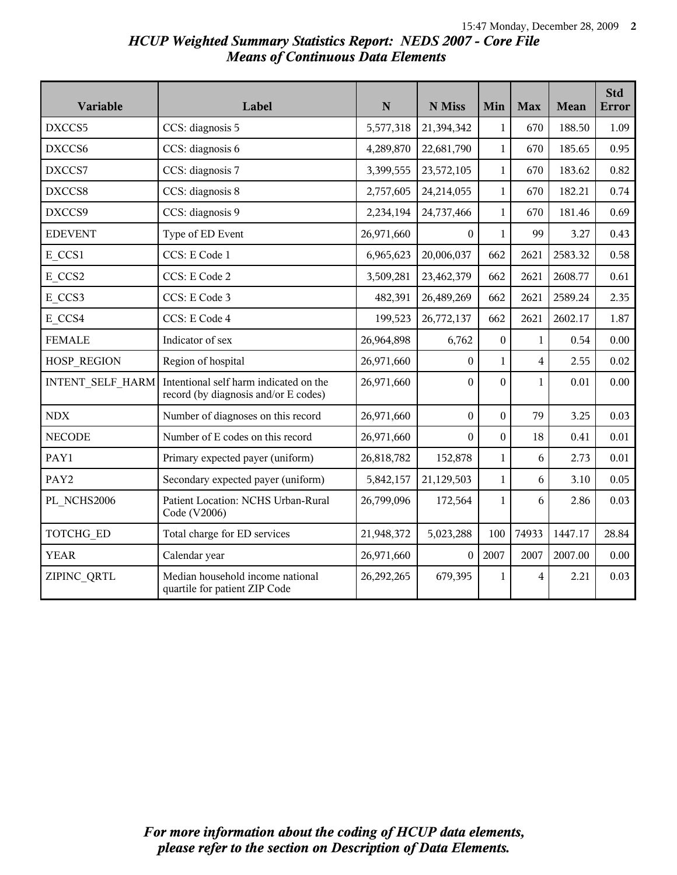# *HCUP Weighted Summary Statistics Report: NEDS 2007 - Core File Means of Continuous Data Elements*

| Variable         | Label                                                                          | N          | N Miss           | Min              | <b>Max</b>     | Mean    | <b>Std</b><br><b>Error</b> |
|------------------|--------------------------------------------------------------------------------|------------|------------------|------------------|----------------|---------|----------------------------|
| DXCCS5           | CCS: diagnosis 5                                                               | 5,577,318  | 21,394,342       | $\mathbf{1}$     | 670            | 188.50  | 1.09                       |
| DXCCS6           | CCS: diagnosis 6                                                               | 4,289,870  | 22,681,790       | $\mathbf{1}$     | 670            | 185.65  | 0.95                       |
| DXCCS7           | CCS: diagnosis 7                                                               | 3,399,555  | 23,572,105       | $\mathbf{1}$     | 670            | 183.62  | 0.82                       |
| DXCCS8           | CCS: diagnosis 8                                                               | 2,757,605  | 24,214,055       | $\mathbf{1}$     | 670            | 182.21  | 0.74                       |
| DXCCS9           | CCS: diagnosis 9                                                               | 2,234,194  | 24,737,466       | $\mathbf{1}$     | 670            | 181.46  | 0.69                       |
| <b>EDEVENT</b>   | Type of ED Event                                                               | 26,971,660 | $\boldsymbol{0}$ | $\mathbf{1}$     | 99             | 3.27    | 0.43                       |
| E CCS1           | CCS: E Code 1                                                                  | 6,965,623  | 20,006,037       | 662              | 2621           | 2583.32 | 0.58                       |
| E CCS2           | CCS: E Code 2                                                                  | 3,509,281  | 23,462,379       | 662              | 2621           | 2608.77 | 0.61                       |
| E CCS3           | CCS: E Code 3                                                                  | 482,391    | 26,489,269       | 662              | 2621           | 2589.24 | 2.35                       |
| E CCS4           | CCS: E Code 4                                                                  | 199,523    | 26,772,137       | 662              | 2621           | 2602.17 | 1.87                       |
| <b>FEMALE</b>    | Indicator of sex                                                               | 26,964,898 | 6,762            | $\boldsymbol{0}$ | $\mathbf{1}$   | 0.54    | 0.00                       |
| HOSP_REGION      | Region of hospital                                                             | 26,971,660 | $\boldsymbol{0}$ | $\mathbf{1}$     | $\overline{4}$ | 2.55    | 0.02                       |
| INTENT_SELF HARM | Intentional self harm indicated on the<br>record (by diagnosis and/or E codes) | 26,971,660 | $\boldsymbol{0}$ | $\boldsymbol{0}$ | $\mathbf{1}$   | 0.01    | 0.00                       |
| <b>NDX</b>       | Number of diagnoses on this record                                             | 26,971,660 | $\boldsymbol{0}$ | $\boldsymbol{0}$ | 79             | 3.25    | 0.03                       |
| <b>NECODE</b>    | Number of E codes on this record                                               | 26,971,660 | $\theta$         | $\boldsymbol{0}$ | 18             | 0.41    | 0.01                       |
| PAY1             | Primary expected payer (uniform)                                               | 26,818,782 | 152,878          | $\mathbf{1}$     | 6              | 2.73    | 0.01                       |
| PAY2             | Secondary expected payer (uniform)                                             | 5,842,157  | 21,129,503       | $\mathbf{1}$     | 6              | 3.10    | 0.05                       |
| PL NCHS2006      | Patient Location: NCHS Urban-Rural<br>Code (V2006)                             | 26,799,096 | 172,564          | $\mathbf{1}$     | 6              | 2.86    | 0.03                       |
| TOTCHG_ED        | Total charge for ED services                                                   | 21,948,372 | 5,023,288        | 100              | 74933          | 1447.17 | 28.84                      |
| <b>YEAR</b>      | Calendar year                                                                  | 26,971,660 | $\Omega$         | 2007             | 2007           | 2007.00 | 0.00                       |
| ZIPINC QRTL      | Median household income national<br>quartile for patient ZIP Code              | 26,292,265 | 679,395          | $\mathbf{1}$     | 4              | 2.21    | 0.03                       |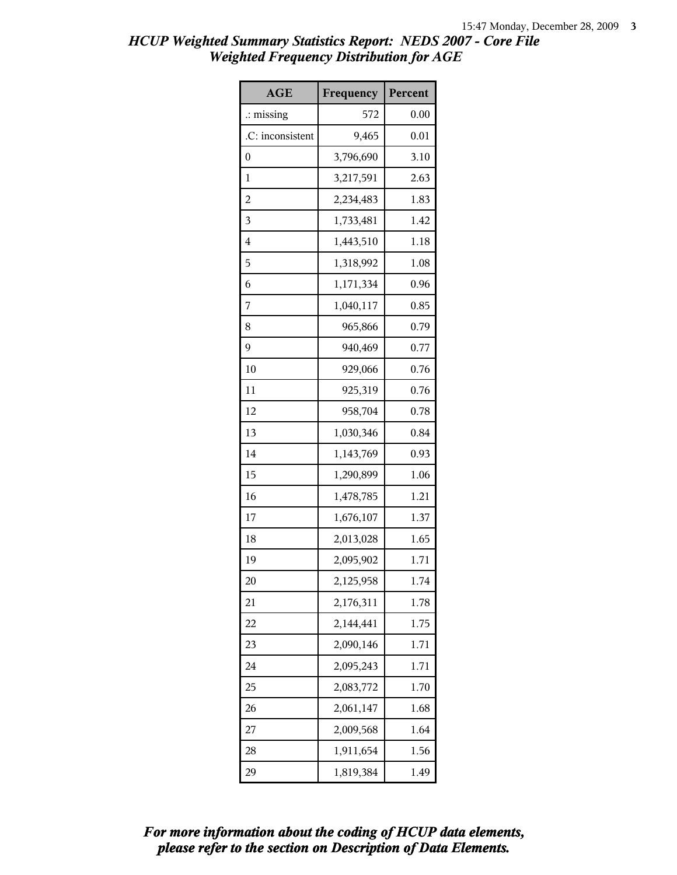| <b>AGE</b>           | Frequency | Percent |
|----------------------|-----------|---------|
| $\therefore$ missing | 572       | 0.00    |
| .C: inconsistent     | 9,465     | 0.01    |
| 0                    | 3,796,690 | 3.10    |
| 1                    | 3,217,591 | 2.63    |
| $\overline{c}$       | 2,234,483 | 1.83    |
| 3                    | 1,733,481 | 1.42    |
| 4                    | 1,443,510 | 1.18    |
| 5                    | 1,318,992 | 1.08    |
| 6                    | 1,171,334 | 0.96    |
| 7                    | 1,040,117 | 0.85    |
| 8                    | 965,866   | 0.79    |
| 9                    | 940,469   | 0.77    |
| 10                   | 929,066   | 0.76    |
| 11                   | 925,319   | 0.76    |
| 12                   | 958,704   | 0.78    |
| 13                   | 1,030,346 | 0.84    |
| 14                   | 1,143,769 | 0.93    |
| 15                   | 1,290,899 | 1.06    |
| 16                   | 1,478,785 | 1.21    |
| 17                   | 1,676,107 | 1.37    |
| 18                   | 2,013,028 | 1.65    |
| 19                   | 2,095,902 | 1.71    |
| 20                   | 2,125,958 | 1.74    |
| 21                   | 2,176,311 | 1.78    |
| 22                   | 2,144,441 | 1.75    |
| 23                   | 2,090,146 | 1.71    |
| 24                   | 2,095,243 | 1.71    |
| 25                   | 2,083,772 | 1.70    |
| 26                   | 2,061,147 | 1.68    |
| 27                   | 2,009,568 | 1.64    |
| 28                   | 1,911,654 | 1.56    |
| 29                   | 1,819,384 | 1.49    |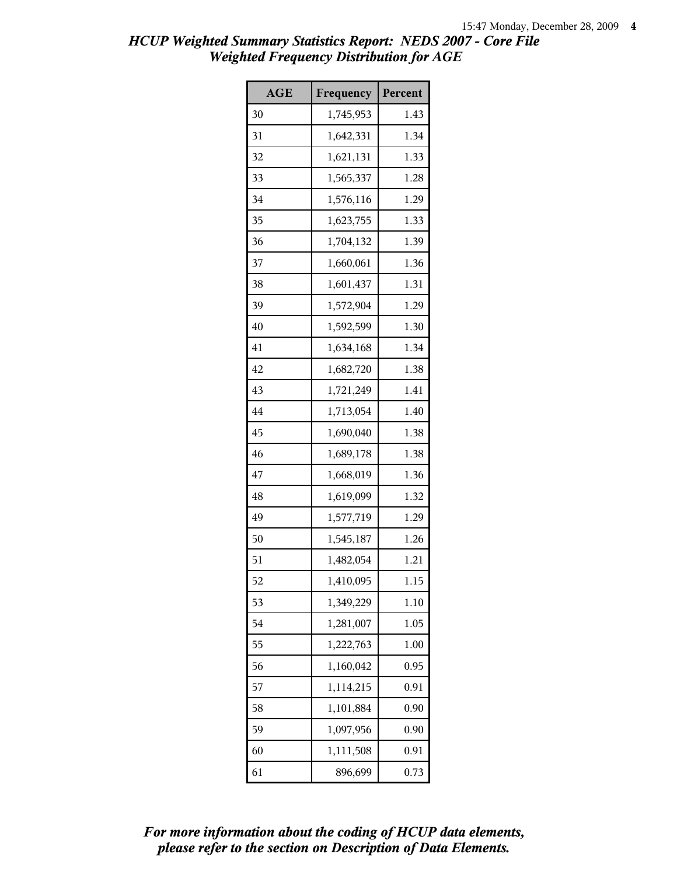| <b>AGE</b> | Frequency | Percent |
|------------|-----------|---------|
| 30         | 1,745,953 | 1.43    |
| 31         | 1,642,331 | 1.34    |
| 32         | 1,621,131 | 1.33    |
| 33         | 1,565,337 | 1.28    |
| 34         | 1,576,116 | 1.29    |
| 35         | 1,623,755 | 1.33    |
| 36         | 1,704,132 | 1.39    |
| 37         | 1,660,061 | 1.36    |
| 38         | 1,601,437 | 1.31    |
| 39         | 1,572,904 | 1.29    |
| 40         | 1,592,599 | 1.30    |
| 41         | 1,634,168 | 1.34    |
| 42         | 1,682,720 | 1.38    |
| 43         | 1,721,249 | 1.41    |
| 44         | 1,713,054 | 1.40    |
| 45         | 1,690,040 | 1.38    |
| 46         | 1,689,178 | 1.38    |
| 47         | 1,668,019 | 1.36    |
| 48         | 1,619,099 | 1.32    |
| 49         | 1,577,719 | 1.29    |
| 50         | 1,545,187 | 1.26    |
| 51         | 1,482,054 | 1.21    |
| 52         | 1,410,095 | 1.15    |
| 53         | 1,349,229 | 1.10    |
| 54         | 1,281,007 | 1.05    |
| 55         | 1,222,763 | 1.00    |
| 56         | 1,160,042 | 0.95    |
| 57         | 1,114,215 | 0.91    |
| 58         | 1,101,884 | 0.90    |
| 59         | 1,097,956 | 0.90    |
| 60         | 1,111,508 | 0.91    |
| 61         | 896,699   | 0.73    |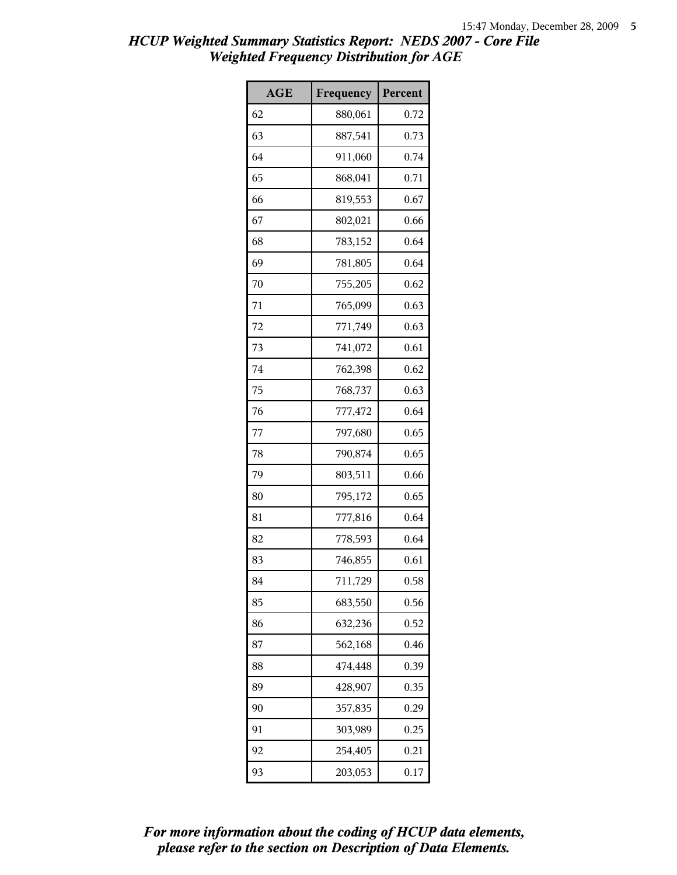| <b>AGE</b> | Frequency | Percent |
|------------|-----------|---------|
| 62         | 880,061   | 0.72    |
| 63         | 887,541   | 0.73    |
| 64         | 911,060   | 0.74    |
| 65         | 868,041   | 0.71    |
| 66         | 819,553   | 0.67    |
| 67         | 802,021   | 0.66    |
| 68         | 783,152   | 0.64    |
| 69         | 781,805   | 0.64    |
| 70         | 755,205   | 0.62    |
| 71         | 765,099   | 0.63    |
| 72         | 771,749   | 0.63    |
| 73         | 741,072   | 0.61    |
| 74         | 762,398   | 0.62    |
| 75         | 768,737   | 0.63    |
| 76         | 777,472   | 0.64    |
| 77         | 797,680   | 0.65    |
| 78         | 790,874   | 0.65    |
| 79         | 803,511   | 0.66    |
| 80         | 795,172   | 0.65    |
| 81         | 777,816   | 0.64    |
| 82         | 778,593   | 0.64    |
| 83         | 746,855   | 0.61    |
| 84         | 711,729   | 0.58    |
| 85         | 683,550   | 0.56    |
| 86         | 632,236   | 0.52    |
| 87         | 562,168   | 0.46    |
| 88         | 474,448   | 0.39    |
| 89         | 428,907   | 0.35    |
| 90         | 357,835   | 0.29    |
| 91         | 303,989   | 0.25    |
| 92         | 254,405   | 0.21    |
| 93         | 203,053   | 0.17    |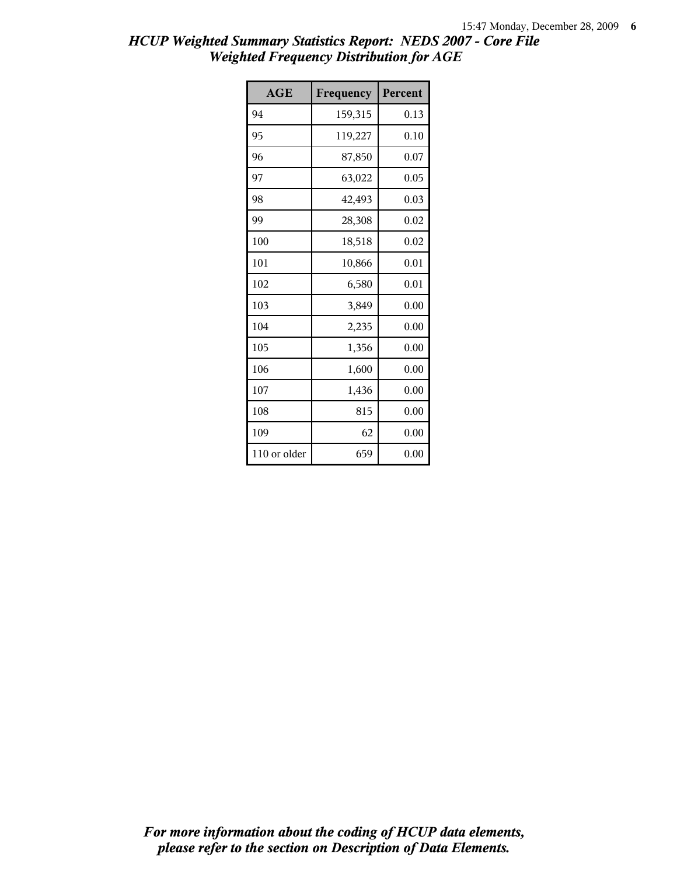| AGE          | Frequency | Percent |
|--------------|-----------|---------|
| 94           | 159,315   | 0.13    |
| 95           | 119,227   | 0.10    |
| 96           | 87,850    | 0.07    |
| 97           | 63,022    | 0.05    |
| 98           | 42,493    | 0.03    |
| 99           | 28,308    | 0.02    |
| 100          | 18,518    | 0.02    |
| 101          | 10,866    | 0.01    |
| 102          | 6,580     | 0.01    |
| 103          | 3,849     | 0.00    |
| 104          | 2,235     | 0.00    |
| 105          | 1,356     | 0.00    |
| 106          | 1,600     | 0.00    |
| 107          | 1,436     | 0.00    |
| 108          | 815       | 0.00    |
| 109          | 62        | 0.00    |
| 110 or older | 659       | 0.00    |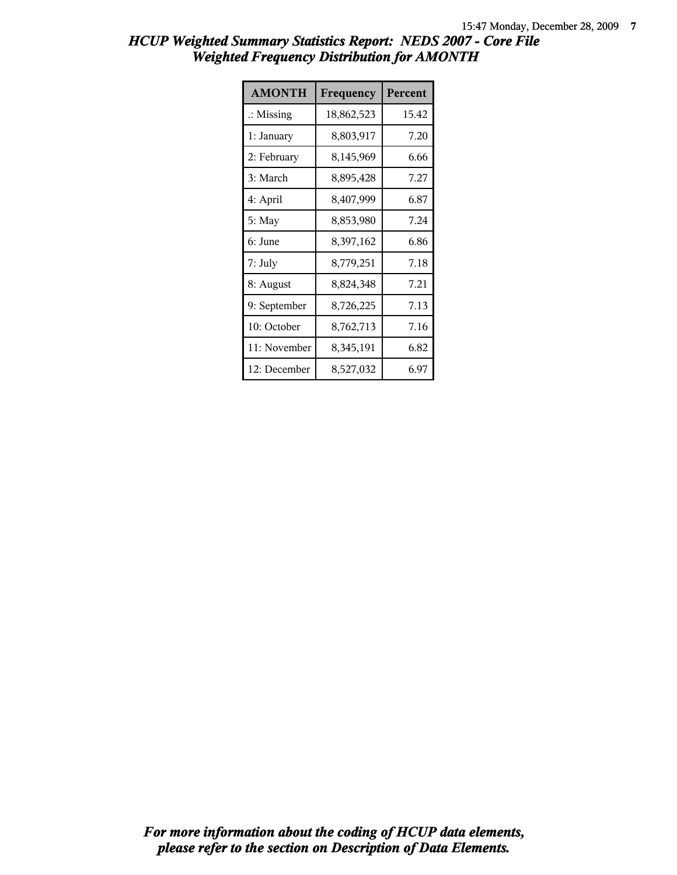| <b>AMONTH</b>        | Frequency  | Percent |
|----------------------|------------|---------|
| $\therefore$ Missing | 18,862,523 | 15.42   |
| 1: January           | 8,803,917  | 7.20    |
| 2: February          | 8,145,969  | 6.66    |
| 3: March             | 8,895,428  | 7.27    |
| 4: April             | 8,407,999  | 6.87    |
| 5: May               | 8,853,980  | 7.24    |
| 6: June              | 8,397,162  | 6.86    |
| 7: July              | 8,779,251  | 7.18    |
| 8: August            | 8,824,348  | 7.21    |
| 9: September         | 8,726,225  | 7.13    |
| 10: October          | 8,762,713  | 7.16    |
| 11: November         | 8,345,191  | 6.82    |
| 12: December         | 8,527,032  | 6.97    |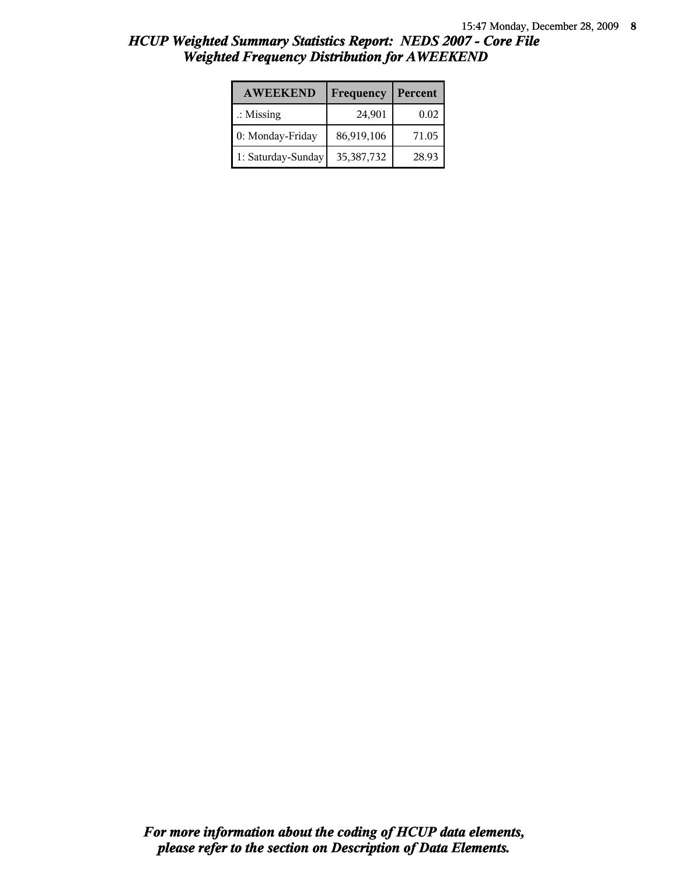| <b>AWEEKEND</b>      | Frequency  | Percent |
|----------------------|------------|---------|
| $\therefore$ Missing | 24,901     | 0.02    |
| 0: Monday-Friday     | 86,919,106 | 71.05   |
| 1: Saturday-Sunday   | 35,387,732 | 28.93   |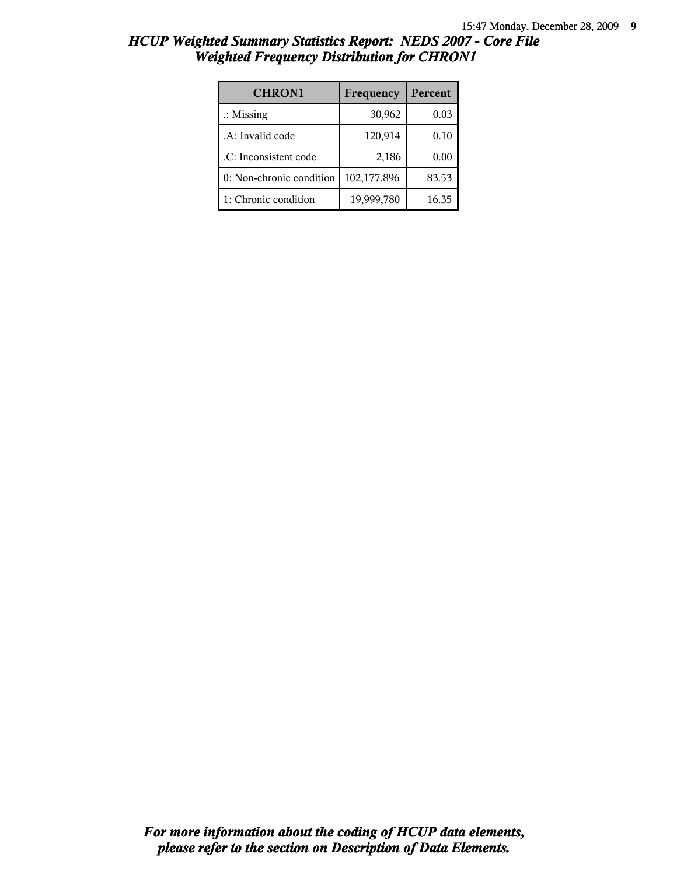| <b>CHRON1</b>            | Frequency   | Percent |
|--------------------------|-------------|---------|
| $\therefore$ Missing     | 30,962      | 0.03    |
| .A: Invalid code         | 120,914     | 0.10    |
| .C: Inconsistent code    | 2,186       | 0.00    |
| 0: Non-chronic condition | 102,177,896 | 83.53   |
| 1: Chronic condition     | 19,999,780  | 16.35   |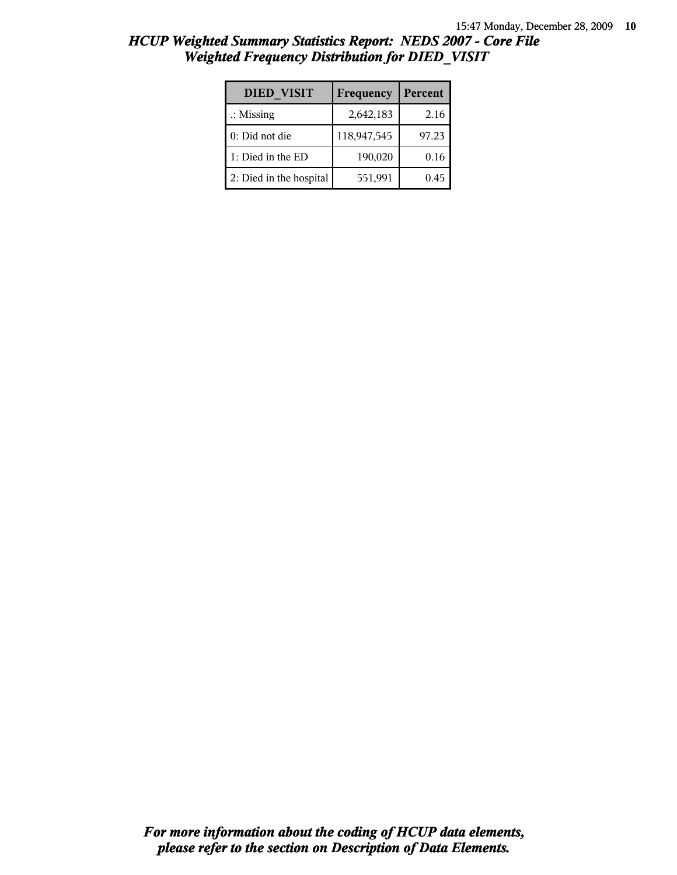| <b>DIED VISIT</b>       | Frequency   | Percent |
|-------------------------|-------------|---------|
| $\therefore$ Missing    | 2,642,183   | 2.16    |
| 0: Did not die          | 118,947,545 | 97.23   |
| 1: Died in the ED       | 190,020     | 0.16    |
| 2: Died in the hospital | 551,991     | 0.45    |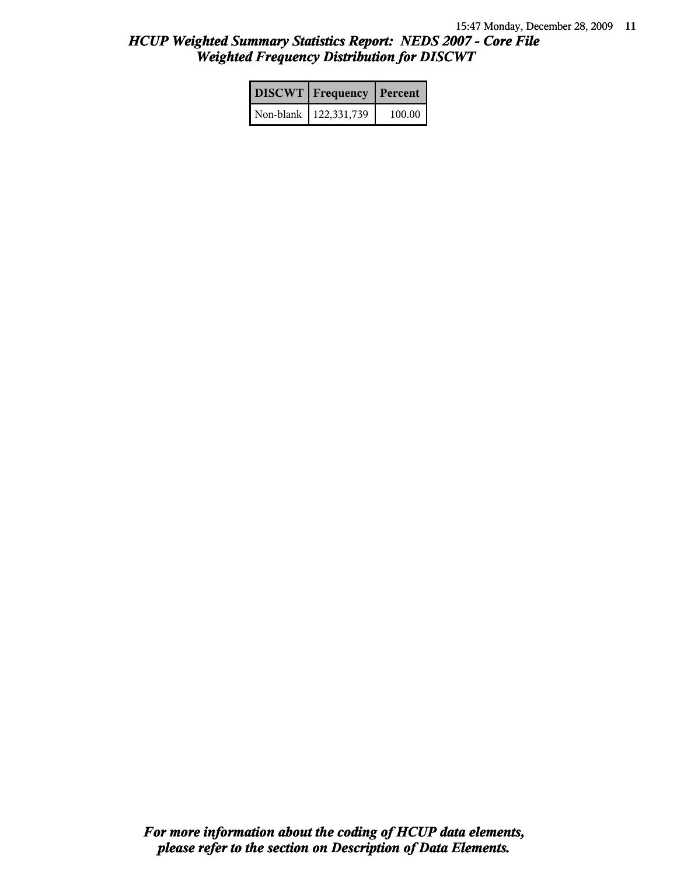| <b>DISCWT</b>   Frequency   Percent |        |
|-------------------------------------|--------|
| Non-blank   122,331,739             | 100.00 |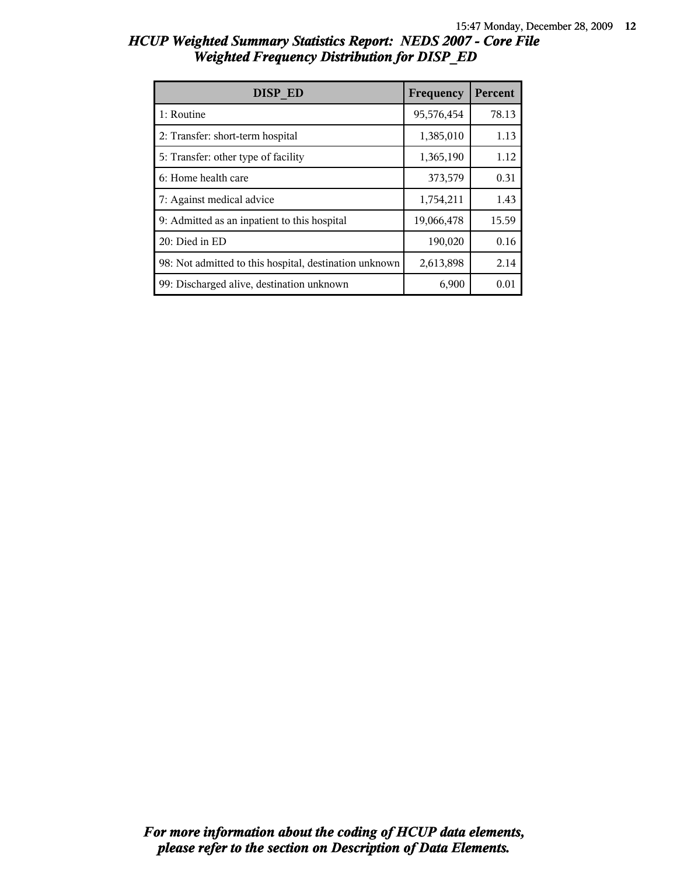| DISP ED                                                | Frequency  | Percent |
|--------------------------------------------------------|------------|---------|
| 1: Routine                                             | 95,576,454 | 78.13   |
| 2: Transfer: short-term hospital                       | 1,385,010  | 1.13    |
| 5: Transfer: other type of facility                    | 1,365,190  | 1.12    |
| 6: Home health care                                    | 373,579    | 0.31    |
| 7: Against medical advice                              | 1,754,211  | 1.43    |
| 9: Admitted as an inpatient to this hospital           | 19,066,478 | 15.59   |
| 20: Died in ED                                         | 190,020    | 0.16    |
| 98: Not admitted to this hospital, destination unknown | 2,613,898  | 2.14    |
| 99: Discharged alive, destination unknown              | 6,900      | 0.01    |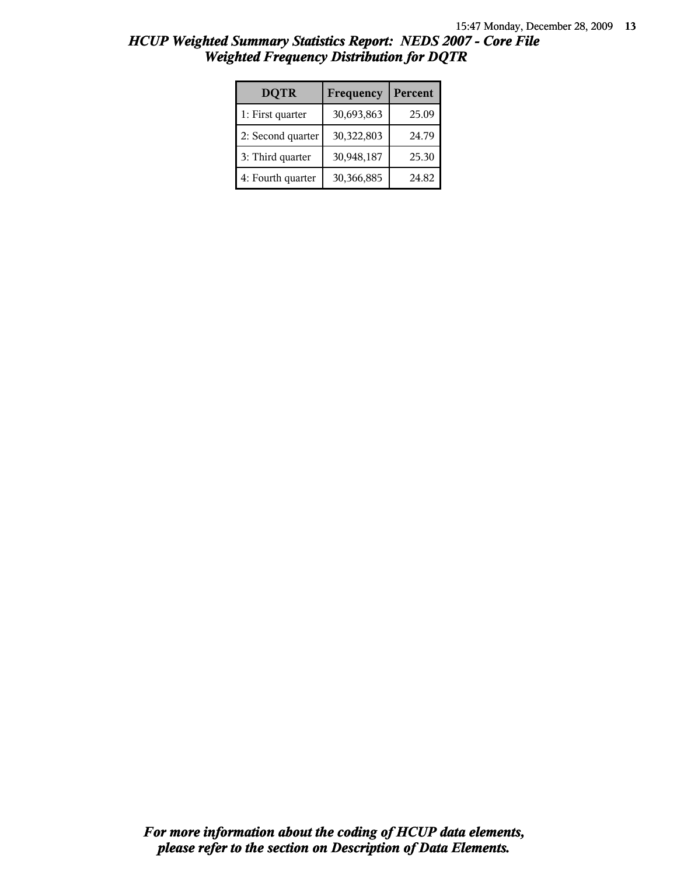| <b>DQTR</b>       | Frequency  | Percent |
|-------------------|------------|---------|
| 1: First quarter  | 30,693,863 | 25.09   |
| 2: Second quarter | 30,322,803 | 24.79   |
| 3: Third quarter  | 30,948,187 | 25.30   |
| 4: Fourth quarter | 30,366,885 | 24.82   |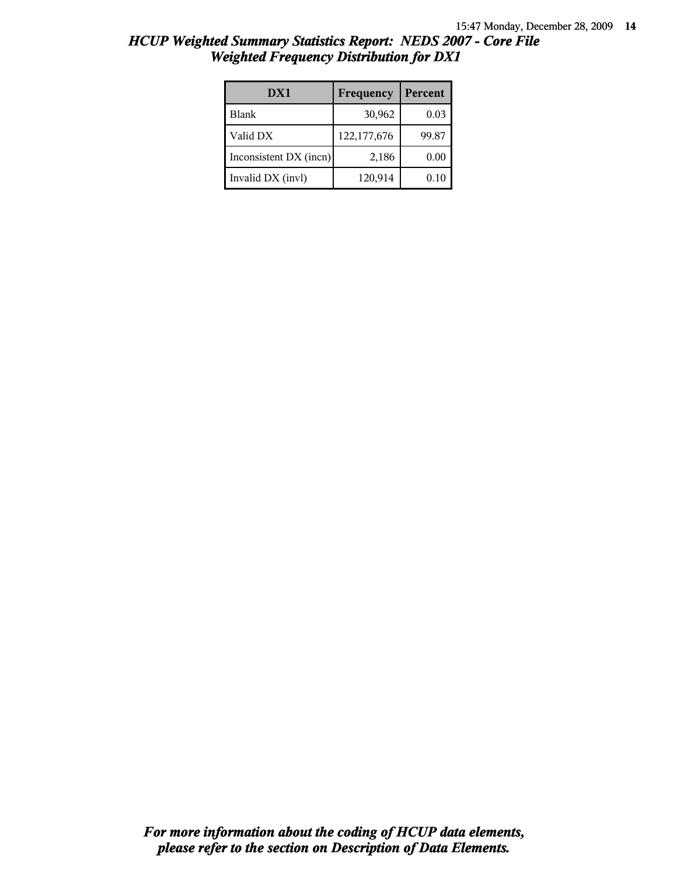| DX1                    | Frequency   | Percent |
|------------------------|-------------|---------|
| <b>Blank</b>           | 30,962      | 0.03    |
| Valid DX               | 122,177,676 | 99.87   |
| Inconsistent DX (incn) | 2,186       | 0.00    |
| Invalid DX (invl)      | 120,914     | 0.10    |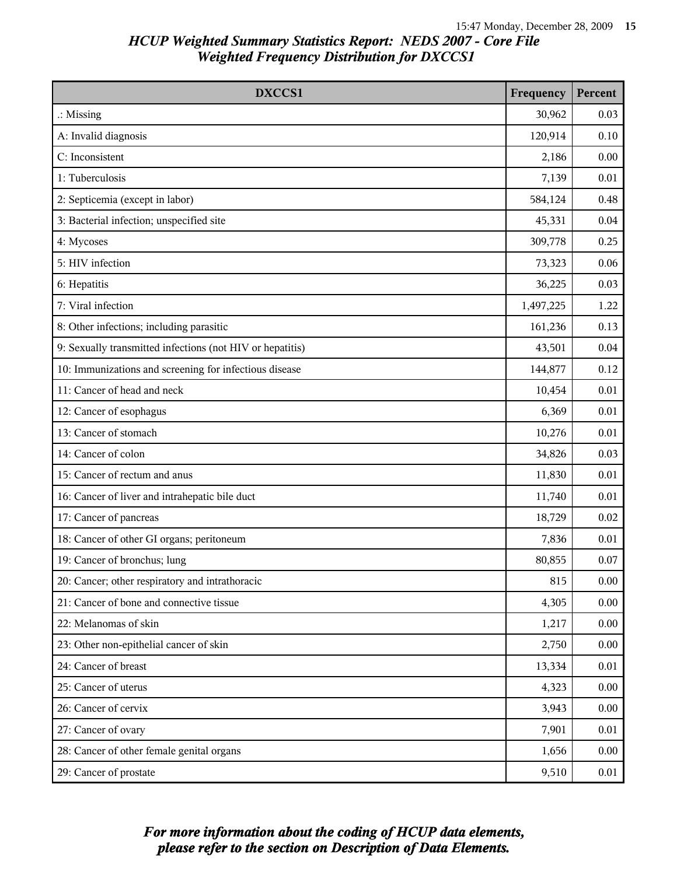| <b>DXCCS1</b>                                             | Frequency | Percent |
|-----------------------------------------------------------|-----------|---------|
| $\therefore$ Missing                                      | 30,962    | 0.03    |
| A: Invalid diagnosis                                      | 120,914   | 0.10    |
| C: Inconsistent                                           | 2,186     | 0.00    |
| 1: Tuberculosis                                           | 7,139     | 0.01    |
| 2: Septicemia (except in labor)                           | 584,124   | 0.48    |
| 3: Bacterial infection; unspecified site                  | 45,331    | 0.04    |
| 4: Mycoses                                                | 309,778   | 0.25    |
| 5: HIV infection                                          | 73,323    | 0.06    |
| 6: Hepatitis                                              | 36,225    | 0.03    |
| 7: Viral infection                                        | 1,497,225 | 1.22    |
| 8: Other infections; including parasitic                  | 161,236   | 0.13    |
| 9: Sexually transmitted infections (not HIV or hepatitis) | 43,501    | 0.04    |
| 10: Immunizations and screening for infectious disease    | 144,877   | 0.12    |
| 11: Cancer of head and neck                               | 10,454    | 0.01    |
| 12: Cancer of esophagus                                   | 6,369     | 0.01    |
| 13: Cancer of stomach                                     | 10,276    | 0.01    |
| 14: Cancer of colon                                       | 34,826    | 0.03    |
| 15: Cancer of rectum and anus                             | 11,830    | 0.01    |
| 16: Cancer of liver and intrahepatic bile duct            | 11,740    | 0.01    |
| 17: Cancer of pancreas                                    | 18,729    | 0.02    |
| 18: Cancer of other GI organs; peritoneum                 | 7,836     | 0.01    |
| 19: Cancer of bronchus; lung                              | 80,855    | 0.07    |
| 20: Cancer; other respiratory and intrathoracic           | 815       | 0.00    |
| 21: Cancer of bone and connective tissue                  | 4,305     | 0.00    |
| 22: Melanomas of skin                                     | 1,217     | 0.00    |
| 23: Other non-epithelial cancer of skin                   | 2,750     | 0.00    |
| 24: Cancer of breast                                      | 13,334    | 0.01    |
| 25: Cancer of uterus                                      | 4,323     | 0.00    |
| 26: Cancer of cervix                                      | 3,943     | 0.00    |
| 27: Cancer of ovary                                       | 7,901     | 0.01    |
| 28: Cancer of other female genital organs                 | 1,656     | 0.00    |
| 29: Cancer of prostate                                    | 9,510     | 0.01    |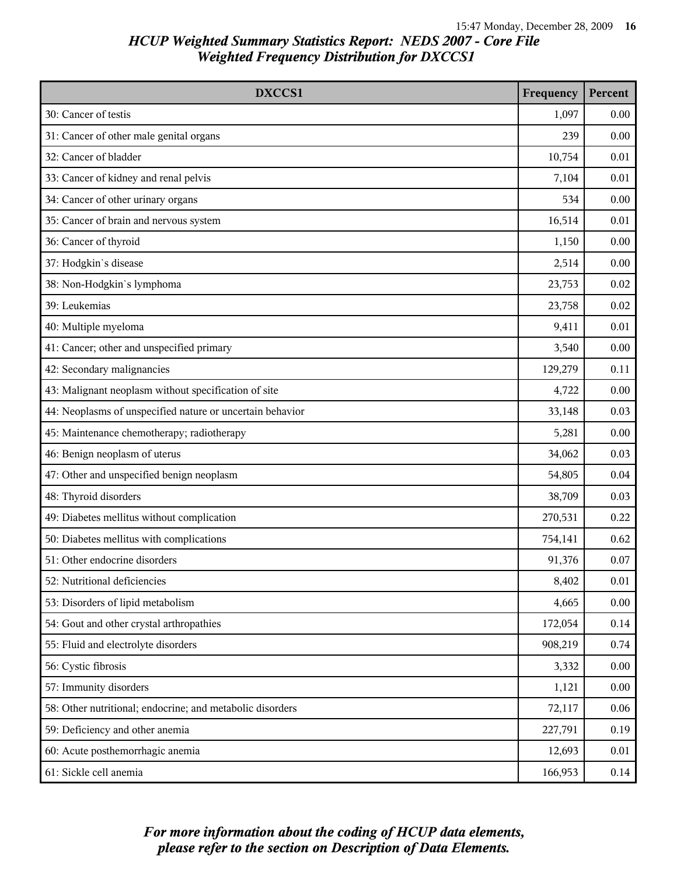| DXCCS1                                                    | Frequency | Percent |
|-----------------------------------------------------------|-----------|---------|
| 30: Cancer of testis                                      | 1,097     | 0.00    |
| 31: Cancer of other male genital organs                   | 239       | 0.00    |
| 32: Cancer of bladder                                     | 10,754    | 0.01    |
| 33: Cancer of kidney and renal pelvis                     | 7,104     | 0.01    |
| 34: Cancer of other urinary organs                        | 534       | 0.00    |
| 35: Cancer of brain and nervous system                    | 16,514    | 0.01    |
| 36: Cancer of thyroid                                     | 1,150     | 0.00    |
| 37: Hodgkin's disease                                     | 2,514     | 0.00    |
| 38: Non-Hodgkin's lymphoma                                | 23,753    | 0.02    |
| 39: Leukemias                                             | 23,758    | 0.02    |
| 40: Multiple myeloma                                      | 9,411     | 0.01    |
| 41: Cancer; other and unspecified primary                 | 3,540     | 0.00    |
| 42: Secondary malignancies                                | 129,279   | 0.11    |
| 43: Malignant neoplasm without specification of site      | 4,722     | 0.00    |
| 44: Neoplasms of unspecified nature or uncertain behavior | 33,148    | 0.03    |
| 45: Maintenance chemotherapy; radiotherapy                | 5,281     | 0.00    |
| 46: Benign neoplasm of uterus                             | 34,062    | 0.03    |
| 47: Other and unspecified benign neoplasm                 | 54,805    | 0.04    |
| 48: Thyroid disorders                                     | 38,709    | 0.03    |
| 49: Diabetes mellitus without complication                | 270,531   | 0.22    |
| 50: Diabetes mellitus with complications                  | 754,141   | 0.62    |
| 51: Other endocrine disorders                             | 91,376    | 0.07    |
| 52: Nutritional deficiencies                              | 8,402     | 0.01    |
| 53: Disorders of lipid metabolism                         | 4,665     | 0.00    |
| 54: Gout and other crystal arthropathies                  | 172,054   | 0.14    |
| 55: Fluid and electrolyte disorders                       | 908,219   | 0.74    |
| 56: Cystic fibrosis                                       | 3,332     | 0.00    |
| 57: Immunity disorders                                    | 1,121     | 0.00    |
| 58: Other nutritional; endocrine; and metabolic disorders | 72,117    | 0.06    |
| 59: Deficiency and other anemia                           | 227,791   | 0.19    |
| 60: Acute posthemorrhagic anemia                          | 12,693    | 0.01    |
| 61: Sickle cell anemia                                    | 166,953   | 0.14    |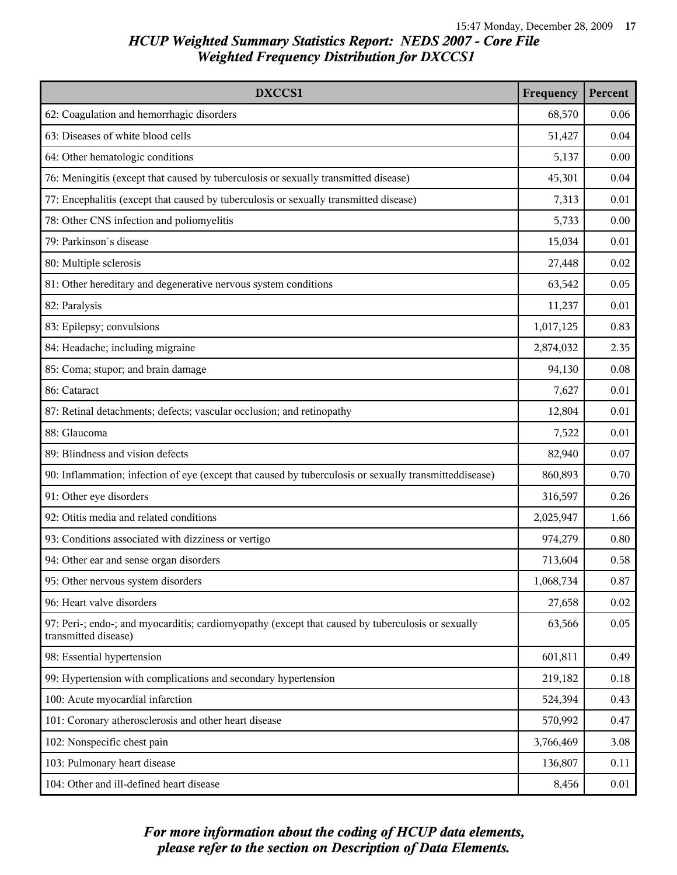| DXCCS1                                                                                                                    | Frequency | Percent |
|---------------------------------------------------------------------------------------------------------------------------|-----------|---------|
| 62: Coagulation and hemorrhagic disorders                                                                                 | 68,570    | 0.06    |
| 63: Diseases of white blood cells                                                                                         | 51,427    | 0.04    |
| 64: Other hematologic conditions                                                                                          | 5,137     | 0.00    |
| 76: Meningitis (except that caused by tuberculosis or sexually transmitted disease)                                       | 45,301    | 0.04    |
| 77: Encephalitis (except that caused by tuberculosis or sexually transmitted disease)                                     | 7,313     | 0.01    |
| 78: Other CNS infection and poliomyelitis                                                                                 | 5,733     | 0.00    |
| 79: Parkinson's disease                                                                                                   | 15,034    | 0.01    |
| 80: Multiple sclerosis                                                                                                    | 27,448    | 0.02    |
| 81: Other hereditary and degenerative nervous system conditions                                                           | 63,542    | 0.05    |
| 82: Paralysis                                                                                                             | 11,237    | 0.01    |
| 83: Epilepsy; convulsions                                                                                                 | 1,017,125 | 0.83    |
| 84: Headache; including migraine                                                                                          | 2,874,032 | 2.35    |
| 85: Coma; stupor; and brain damage                                                                                        | 94,130    | 0.08    |
| 86: Cataract                                                                                                              | 7,627     | 0.01    |
| 87: Retinal detachments; defects; vascular occlusion; and retinopathy                                                     | 12,804    | 0.01    |
| 88: Glaucoma                                                                                                              | 7,522     | 0.01    |
| 89: Blindness and vision defects                                                                                          | 82,940    | 0.07    |
| 90: Inflammation; infection of eye (except that caused by tuberculosis or sexually transmitteddisease)                    | 860,893   | 0.70    |
| 91: Other eye disorders                                                                                                   | 316,597   | 0.26    |
| 92: Otitis media and related conditions                                                                                   | 2,025,947 | 1.66    |
| 93: Conditions associated with dizziness or vertigo                                                                       | 974,279   | 0.80    |
| 94: Other ear and sense organ disorders                                                                                   | 713,604   | 0.58    |
| 95: Other nervous system disorders                                                                                        | 1,068,734 | 0.87    |
| 96: Heart valve disorders                                                                                                 | 27,658    | 0.02    |
| 97: Peri-; endo-; and myocarditis; cardiomyopathy (except that caused by tuberculosis or sexually<br>transmitted disease) | 63,566    | 0.05    |
| 98: Essential hypertension                                                                                                | 601,811   | 0.49    |
| 99: Hypertension with complications and secondary hypertension                                                            | 219,182   | 0.18    |
| 100: Acute myocardial infarction                                                                                          | 524,394   | 0.43    |
| 101: Coronary atherosclerosis and other heart disease                                                                     | 570,992   | 0.47    |
| 102: Nonspecific chest pain                                                                                               | 3,766,469 | 3.08    |
| 103: Pulmonary heart disease                                                                                              | 136,807   | 0.11    |
| 104: Other and ill-defined heart disease                                                                                  | 8,456     | 0.01    |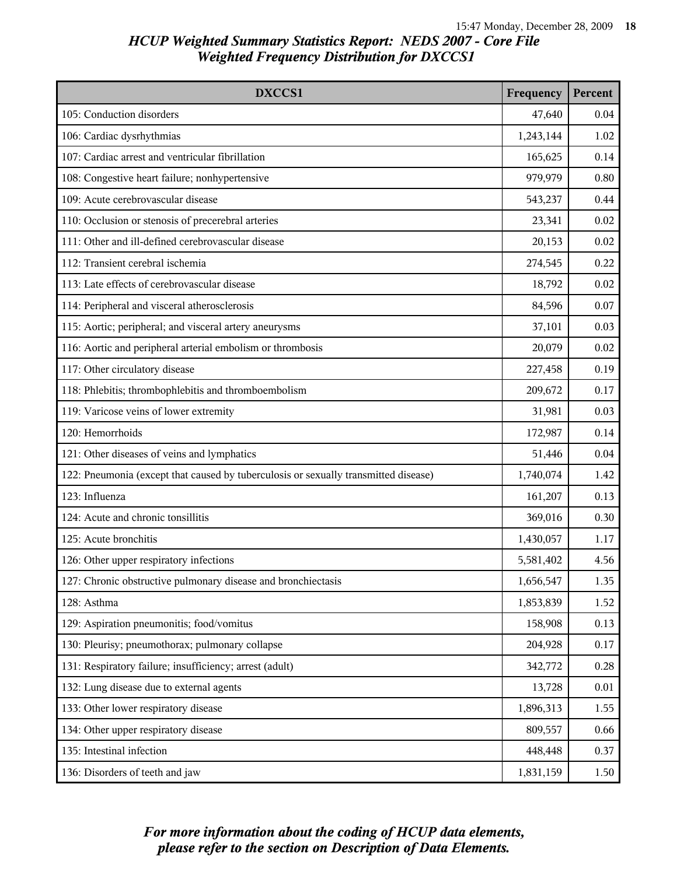| DXCCS1                                                                              | Frequency | Percent |
|-------------------------------------------------------------------------------------|-----------|---------|
| 105: Conduction disorders                                                           | 47,640    | 0.04    |
| 106: Cardiac dysrhythmias                                                           | 1,243,144 | 1.02    |
| 107: Cardiac arrest and ventricular fibrillation                                    | 165,625   | 0.14    |
| 108: Congestive heart failure; nonhypertensive                                      | 979,979   | 0.80    |
| 109: Acute cerebrovascular disease                                                  | 543,237   | 0.44    |
| 110: Occlusion or stenosis of precerebral arteries                                  | 23,341    | 0.02    |
| 111: Other and ill-defined cerebrovascular disease                                  | 20,153    | 0.02    |
| 112: Transient cerebral ischemia                                                    | 274,545   | 0.22    |
| 113: Late effects of cerebrovascular disease                                        | 18,792    | 0.02    |
| 114: Peripheral and visceral atherosclerosis                                        | 84,596    | 0.07    |
| 115: Aortic; peripheral; and visceral artery aneurysms                              | 37,101    | 0.03    |
| 116: Aortic and peripheral arterial embolism or thrombosis                          | 20,079    | 0.02    |
| 117: Other circulatory disease                                                      | 227,458   | 0.19    |
| 118: Phlebitis; thrombophlebitis and thromboembolism                                | 209,672   | 0.17    |
| 119: Varicose veins of lower extremity                                              | 31,981    | 0.03    |
| 120: Hemorrhoids                                                                    | 172,987   | 0.14    |
| 121: Other diseases of veins and lymphatics                                         | 51,446    | 0.04    |
| 122: Pneumonia (except that caused by tuberculosis or sexually transmitted disease) | 1,740,074 | 1.42    |
| 123: Influenza                                                                      | 161,207   | 0.13    |
| 124: Acute and chronic tonsillitis                                                  | 369,016   | 0.30    |
| 125: Acute bronchitis                                                               | 1,430,057 | 1.17    |
| 126: Other upper respiratory infections                                             | 5,581,402 | 4.56    |
| 127: Chronic obstructive pulmonary disease and bronchiectasis                       | 1,656,547 | 1.35    |
| 128: Asthma                                                                         | 1,853,839 | 1.52    |
| 129: Aspiration pneumonitis; food/vomitus                                           | 158,908   | 0.13    |
| 130: Pleurisy; pneumothorax; pulmonary collapse                                     | 204,928   | 0.17    |
| 131: Respiratory failure; insufficiency; arrest (adult)                             | 342,772   | 0.28    |
| 132: Lung disease due to external agents                                            | 13,728    | 0.01    |
| 133: Other lower respiratory disease                                                | 1,896,313 | 1.55    |
| 134: Other upper respiratory disease                                                | 809,557   | 0.66    |
| 135: Intestinal infection                                                           | 448,448   | 0.37    |
| 136: Disorders of teeth and jaw                                                     | 1,831,159 | 1.50    |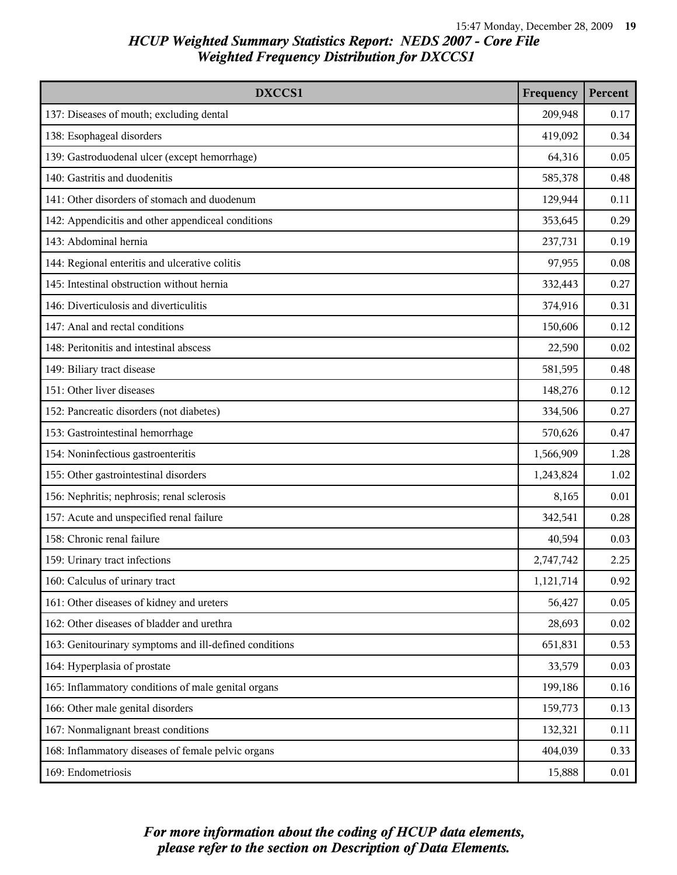| DXCCS1                                                 | Frequency | Percent |
|--------------------------------------------------------|-----------|---------|
| 137: Diseases of mouth; excluding dental               | 209,948   | 0.17    |
| 138: Esophageal disorders                              | 419,092   | 0.34    |
| 139: Gastroduodenal ulcer (except hemorrhage)          | 64,316    | 0.05    |
| 140: Gastritis and duodenitis                          | 585,378   | 0.48    |
| 141: Other disorders of stomach and duodenum           | 129,944   | 0.11    |
| 142: Appendicitis and other appendiceal conditions     | 353,645   | 0.29    |
| 143: Abdominal hernia                                  | 237,731   | 0.19    |
| 144: Regional enteritis and ulcerative colitis         | 97,955    | 0.08    |
| 145: Intestinal obstruction without hernia             | 332,443   | 0.27    |
| 146: Diverticulosis and diverticulitis                 | 374,916   | 0.31    |
| 147: Anal and rectal conditions                        | 150,606   | 0.12    |
| 148: Peritonitis and intestinal abscess                | 22,590    | 0.02    |
| 149: Biliary tract disease                             | 581,595   | 0.48    |
| 151: Other liver diseases                              | 148,276   | 0.12    |
| 152: Pancreatic disorders (not diabetes)               | 334,506   | 0.27    |
| 153: Gastrointestinal hemorrhage                       | 570,626   | 0.47    |
| 154: Noninfectious gastroenteritis                     | 1,566,909 | 1.28    |
| 155: Other gastrointestinal disorders                  | 1,243,824 | 1.02    |
| 156: Nephritis; nephrosis; renal sclerosis             | 8,165     | 0.01    |
| 157: Acute and unspecified renal failure               | 342,541   | 0.28    |
| 158: Chronic renal failure                             | 40,594    | 0.03    |
| 159: Urinary tract infections                          | 2,747,742 | 2.25    |
| 160: Calculus of urinary tract                         | 1,121,714 | 0.92    |
| 161: Other diseases of kidney and ureters              | 56,427    | 0.05    |
| 162: Other diseases of bladder and urethra             | 28,693    | 0.02    |
| 163: Genitourinary symptoms and ill-defined conditions | 651,831   | 0.53    |
| 164: Hyperplasia of prostate                           | 33,579    | 0.03    |
| 165: Inflammatory conditions of male genital organs    | 199,186   | 0.16    |
| 166: Other male genital disorders                      | 159,773   | 0.13    |
| 167: Nonmalignant breast conditions                    | 132,321   | 0.11    |
| 168: Inflammatory diseases of female pelvic organs     | 404,039   | 0.33    |
| 169: Endometriosis                                     | 15,888    | 0.01    |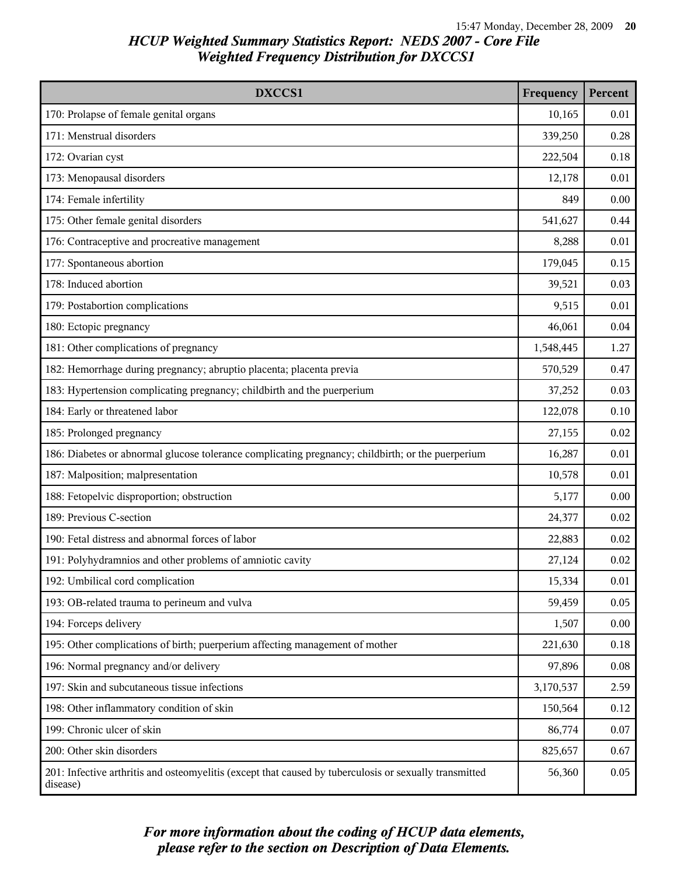| DXCCS1                                                                                                             | Frequency | Percent |
|--------------------------------------------------------------------------------------------------------------------|-----------|---------|
| 170: Prolapse of female genital organs                                                                             | 10,165    | 0.01    |
| 171: Menstrual disorders                                                                                           | 339,250   | 0.28    |
| 172: Ovarian cyst                                                                                                  | 222,504   | 0.18    |
| 173: Menopausal disorders                                                                                          | 12,178    | 0.01    |
| 174: Female infertility                                                                                            | 849       | 0.00    |
| 175: Other female genital disorders                                                                                | 541,627   | 0.44    |
| 176: Contraceptive and procreative management                                                                      | 8,288     | 0.01    |
| 177: Spontaneous abortion                                                                                          | 179,045   | 0.15    |
| 178: Induced abortion                                                                                              | 39,521    | 0.03    |
| 179: Postabortion complications                                                                                    | 9,515     | 0.01    |
| 180: Ectopic pregnancy                                                                                             | 46,061    | 0.04    |
| 181: Other complications of pregnancy                                                                              | 1,548,445 | 1.27    |
| 182: Hemorrhage during pregnancy; abruptio placenta; placenta previa                                               | 570,529   | 0.47    |
| 183: Hypertension complicating pregnancy; childbirth and the puerperium                                            | 37,252    | 0.03    |
| 184: Early or threatened labor                                                                                     | 122,078   | 0.10    |
| 185: Prolonged pregnancy                                                                                           | 27,155    | 0.02    |
| 186: Diabetes or abnormal glucose tolerance complicating pregnancy; childbirth; or the puerperium                  | 16,287    | 0.01    |
| 187: Malposition; malpresentation                                                                                  | 10,578    | 0.01    |
| 188: Fetopelvic disproportion; obstruction                                                                         | 5,177     | 0.00    |
| 189: Previous C-section                                                                                            | 24,377    | 0.02    |
| 190: Fetal distress and abnormal forces of labor                                                                   | 22,883    | 0.02    |
| 191: Polyhydramnios and other problems of amniotic cavity                                                          | 27,124    | 0.02    |
| 192: Umbilical cord complication                                                                                   | 15,334    | 0.01    |
| 193: OB-related trauma to perineum and vulva                                                                       | 59,459    | 0.05    |
| 194: Forceps delivery                                                                                              | 1,507     | 0.00    |
| 195: Other complications of birth; puerperium affecting management of mother                                       | 221,630   | 0.18    |
| 196: Normal pregnancy and/or delivery                                                                              | 97,896    | 0.08    |
| 197: Skin and subcutaneous tissue infections                                                                       | 3,170,537 | 2.59    |
| 198: Other inflammatory condition of skin                                                                          | 150,564   | 0.12    |
| 199: Chronic ulcer of skin                                                                                         | 86,774    | 0.07    |
| 200: Other skin disorders                                                                                          | 825,657   | 0.67    |
| 201: Infective arthritis and osteomyelitis (except that caused by tuberculosis or sexually transmitted<br>disease) | 56,360    | 0.05    |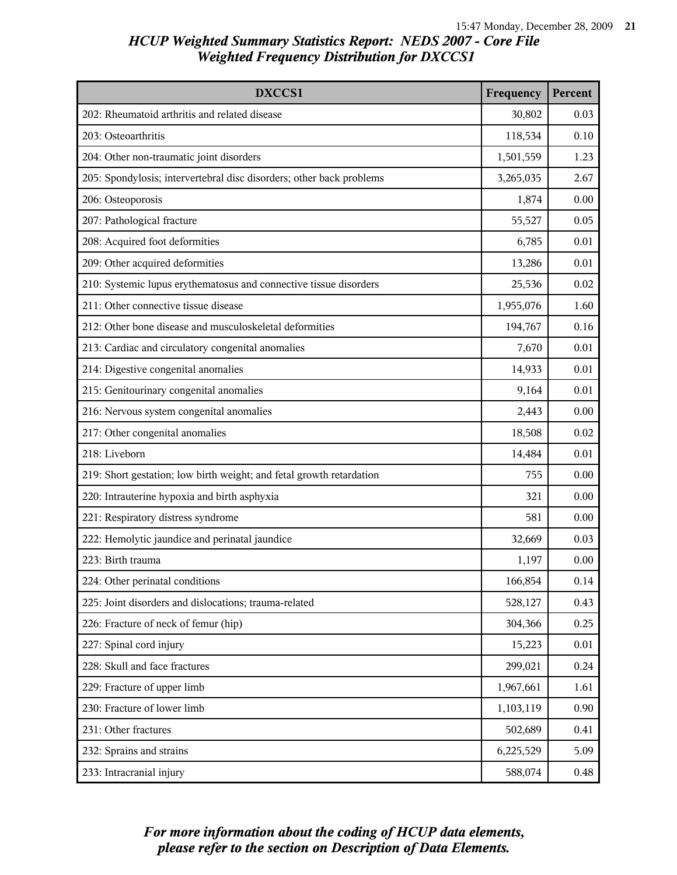| DXCCS1                                                               | Frequency | Percent |
|----------------------------------------------------------------------|-----------|---------|
| 202: Rheumatoid arthritis and related disease                        | 30,802    | 0.03    |
| 203: Osteoarthritis                                                  | 118,534   | 0.10    |
| 204: Other non-traumatic joint disorders                             | 1,501,559 | 1.23    |
| 205: Spondylosis; intervertebral disc disorders; other back problems | 3,265,035 | 2.67    |
| 206: Osteoporosis                                                    | 1,874     | 0.00    |
| 207: Pathological fracture                                           | 55,527    | 0.05    |
| 208: Acquired foot deformities                                       | 6,785     | 0.01    |
| 209: Other acquired deformities                                      | 13,286    | 0.01    |
| 210: Systemic lupus erythematosus and connective tissue disorders    | 25,536    | 0.02    |
| 211: Other connective tissue disease                                 | 1,955,076 | 1.60    |
| 212: Other bone disease and musculoskeletal deformities              | 194,767   | 0.16    |
| 213: Cardiac and circulatory congenital anomalies                    | 7,670     | 0.01    |
| 214: Digestive congenital anomalies                                  | 14,933    | 0.01    |
| 215: Genitourinary congenital anomalies                              | 9,164     | 0.01    |
| 216: Nervous system congenital anomalies                             | 2,443     | 0.00    |
| 217: Other congenital anomalies                                      | 18,508    | 0.02    |
| 218: Liveborn                                                        | 14,484    | 0.01    |
| 219: Short gestation; low birth weight; and fetal growth retardation | 755       | 0.00    |
| 220: Intrauterine hypoxia and birth asphyxia                         | 321       | 0.00    |
| 221: Respiratory distress syndrome                                   | 581       | 0.00    |
| 222: Hemolytic jaundice and perinatal jaundice                       | 32,669    | 0.03    |
| 223: Birth trauma                                                    | 1,197     | 0.00    |
| 224: Other perinatal conditions                                      | 166,854   | 0.14    |
| 225: Joint disorders and dislocations; trauma-related                | 528,127   | 0.43    |
| 226: Fracture of neck of femur (hip)                                 | 304,366   | 0.25    |
| 227: Spinal cord injury                                              | 15,223    | 0.01    |
| 228: Skull and face fractures                                        | 299,021   | 0.24    |
| 229: Fracture of upper limb                                          | 1,967,661 | 1.61    |
| 230: Fracture of lower limb                                          | 1,103,119 | 0.90    |
| 231: Other fractures                                                 | 502,689   | 0.41    |
| 232: Sprains and strains                                             | 6,225,529 | 5.09    |
| 233: Intracranial injury                                             | 588,074   | 0.48    |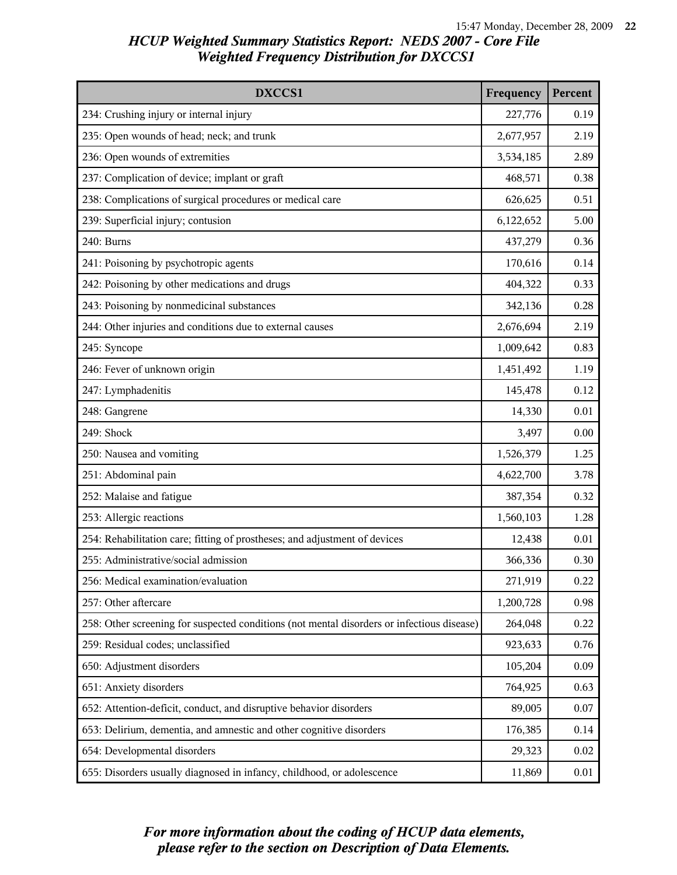| DXCCS1                                                                                     | Frequency | Percent |
|--------------------------------------------------------------------------------------------|-----------|---------|
| 234: Crushing injury or internal injury                                                    | 227,776   | 0.19    |
| 235: Open wounds of head; neck; and trunk                                                  | 2,677,957 | 2.19    |
| 236: Open wounds of extremities                                                            | 3,534,185 | 2.89    |
| 237: Complication of device; implant or graft                                              | 468,571   | 0.38    |
| 238: Complications of surgical procedures or medical care                                  | 626,625   | 0.51    |
| 239: Superficial injury; contusion                                                         | 6,122,652 | 5.00    |
| 240: Burns                                                                                 | 437,279   | 0.36    |
| 241: Poisoning by psychotropic agents                                                      | 170,616   | 0.14    |
| 242: Poisoning by other medications and drugs                                              | 404,322   | 0.33    |
| 243: Poisoning by nonmedicinal substances                                                  | 342,136   | 0.28    |
| 244: Other injuries and conditions due to external causes                                  | 2,676,694 | 2.19    |
| 245: Syncope                                                                               | 1,009,642 | 0.83    |
| 246: Fever of unknown origin                                                               | 1,451,492 | 1.19    |
| 247: Lymphadenitis                                                                         | 145,478   | 0.12    |
| 248: Gangrene                                                                              | 14,330    | 0.01    |
| 249: Shock                                                                                 | 3,497     | 0.00    |
| 250: Nausea and vomiting                                                                   | 1,526,379 | 1.25    |
| 251: Abdominal pain                                                                        | 4,622,700 | 3.78    |
| 252: Malaise and fatigue                                                                   | 387,354   | 0.32    |
| 253: Allergic reactions                                                                    | 1,560,103 | 1.28    |
| 254: Rehabilitation care; fitting of prostheses; and adjustment of devices                 | 12,438    | 0.01    |
| 255: Administrative/social admission                                                       | 366,336   | 0.30    |
| 256: Medical examination/evaluation                                                        | 271,919   | 0.22    |
| 257: Other aftercare                                                                       | 1,200,728 | 0.98    |
| 258: Other screening for suspected conditions (not mental disorders or infectious disease) | 264,048   | 0.22    |
| 259: Residual codes; unclassified                                                          | 923,633   | 0.76    |
| 650: Adjustment disorders                                                                  | 105,204   | 0.09    |
| 651: Anxiety disorders                                                                     | 764,925   | 0.63    |
| 652: Attention-deficit, conduct, and disruptive behavior disorders                         | 89,005    | 0.07    |
| 653: Delirium, dementia, and amnestic and other cognitive disorders                        | 176,385   | 0.14    |
| 654: Developmental disorders                                                               | 29,323    | 0.02    |
| 655: Disorders usually diagnosed in infancy, childhood, or adolescence                     | 11,869    | 0.01    |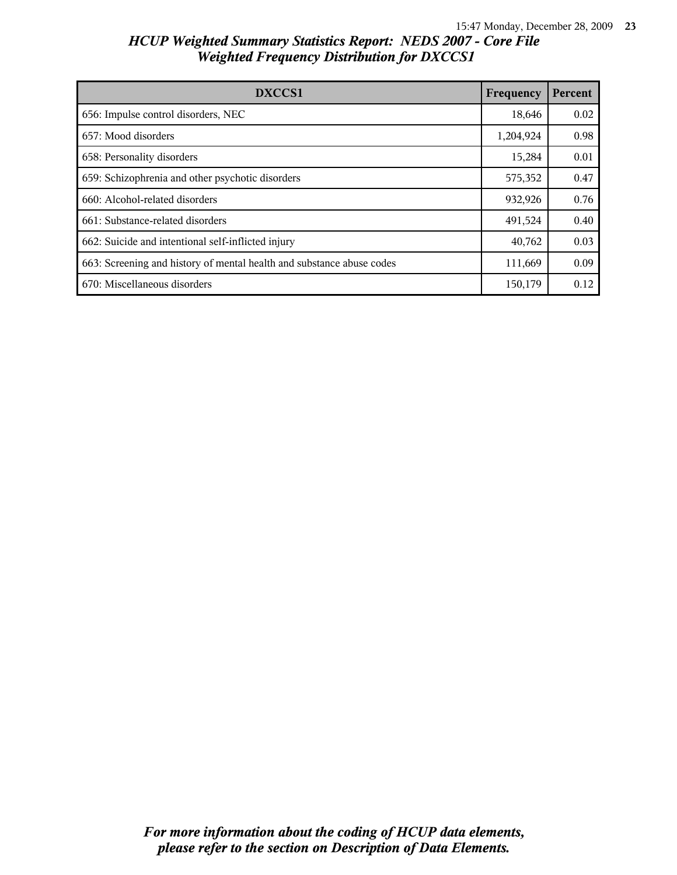| DXCCS1                                                                | Frequency | Percent |
|-----------------------------------------------------------------------|-----------|---------|
| 656: Impulse control disorders, NEC                                   | 18,646    | 0.02    |
| 657: Mood disorders                                                   | 1,204,924 | 0.98    |
| 658: Personality disorders                                            | 15,284    | 0.01    |
| 659: Schizophrenia and other psychotic disorders                      | 575,352   | 0.47    |
| 660: Alcohol-related disorders                                        | 932,926   | 0.76    |
| 661: Substance-related disorders                                      | 491,524   | 0.40    |
| 662: Suicide and intentional self-inflicted injury                    | 40,762    | 0.03    |
| 663: Screening and history of mental health and substance abuse codes | 111,669   | 0.09    |
| 670: Miscellaneous disorders                                          | 150,179   | 0.12    |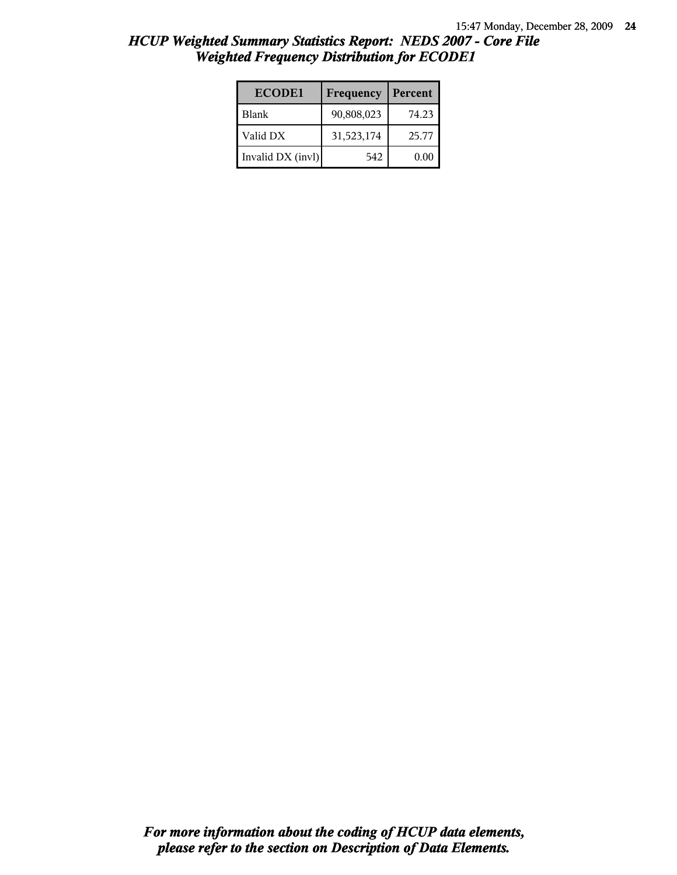| <b>ECODE1</b>     | Frequency  | Percent |
|-------------------|------------|---------|
| <b>Blank</b>      | 90,808,023 | 74.23   |
| Valid DX          | 31,523,174 | 25.77   |
| Invalid DX (invl) | 542        | 0.00    |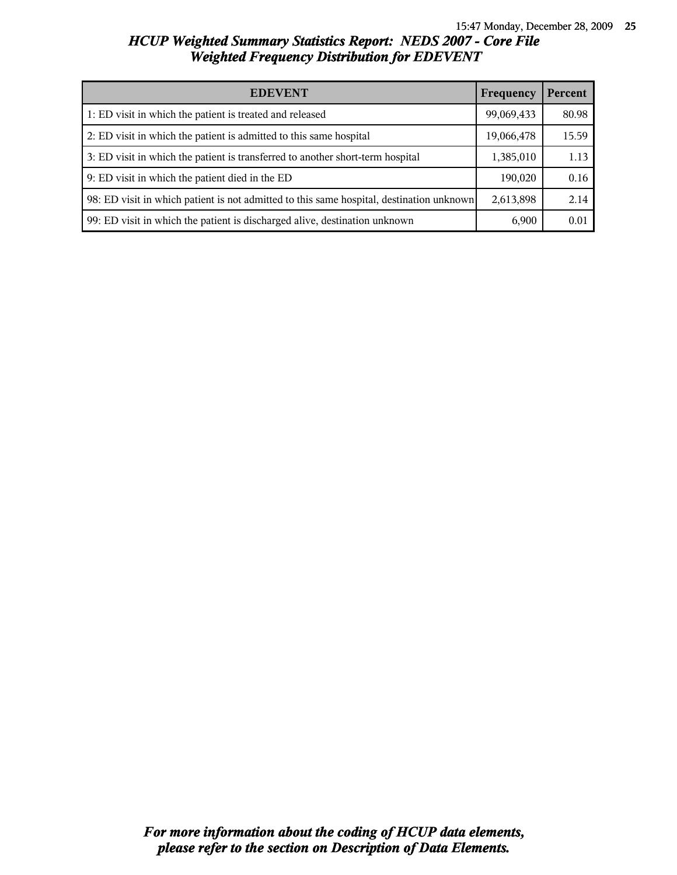| <b>EDEVENT</b><br>Frequency                                                              |            | Percent |
|------------------------------------------------------------------------------------------|------------|---------|
| 1: ED visit in which the patient is treated and released                                 | 99,069,433 | 80.98   |
| 2: ED visit in which the patient is admitted to this same hospital                       | 19,066,478 | 15.59   |
| 3: ED visit in which the patient is transferred to another short-term hospital           | 1,385,010  | 1.13    |
| 9: ED visit in which the patient died in the ED                                          | 190,020    | 0.16    |
| 98: ED visit in which patient is not admitted to this same hospital, destination unknown | 2,613,898  | 2.14    |
| 99: ED visit in which the patient is discharged alive, destination unknown               | 6,900      | 0.01    |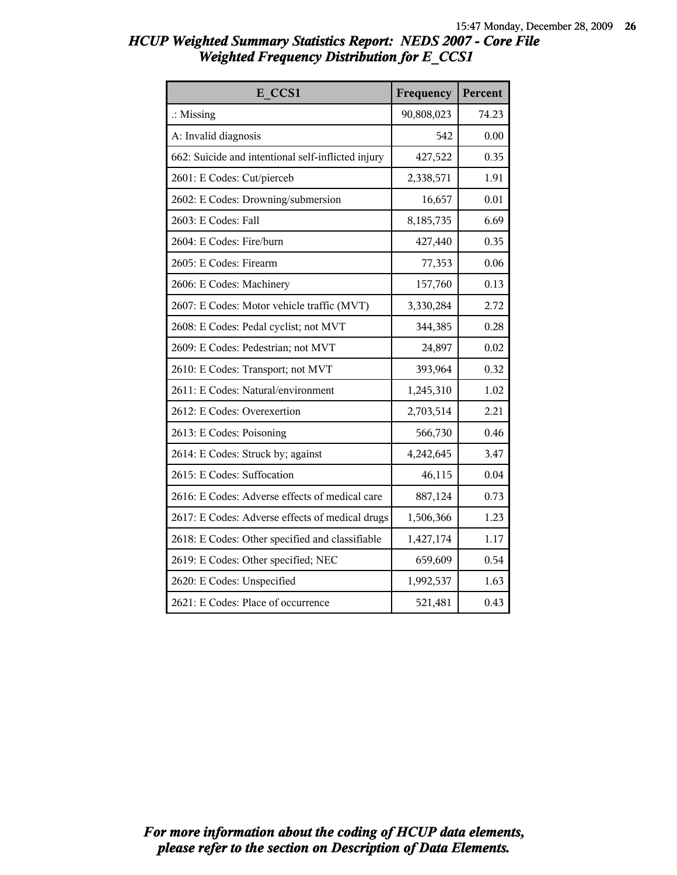| E CCS1                                             | Frequency  | Percent |
|----------------------------------------------------|------------|---------|
| $\therefore$ Missing                               | 90,808,023 | 74.23   |
| A: Invalid diagnosis                               | 542        | 0.00    |
| 662: Suicide and intentional self-inflicted injury | 427,522    | 0.35    |
| 2601: E Codes: Cut/pierceb                         | 2,338,571  | 1.91    |
| 2602: E Codes: Drowning/submersion                 | 16,657     | 0.01    |
| 2603: E Codes: Fall                                | 8,185,735  | 6.69    |
| 2604: E Codes: Fire/burn                           | 427,440    | 0.35    |
| 2605: E Codes: Firearm                             | 77,353     | 0.06    |
| 2606: E Codes: Machinery                           | 157,760    | 0.13    |
| 2607: E Codes: Motor vehicle traffic (MVT)         | 3,330,284  | 2.72    |
| 2608: E Codes: Pedal cyclist; not MVT              | 344,385    | 0.28    |
| 2609: E Codes: Pedestrian; not MVT                 | 24,897     | 0.02    |
| 2610: E Codes: Transport; not MVT                  | 393,964    | 0.32    |
| 2611: E Codes: Natural/environment                 | 1,245,310  | 1.02    |
| 2612: E Codes: Overexertion                        | 2,703,514  | 2.21    |
| 2613: E Codes: Poisoning                           | 566,730    | 0.46    |
| 2614: E Codes: Struck by; against                  | 4,242,645  | 3.47    |
| 2615: E Codes: Suffocation                         | 46,115     | 0.04    |
| 2616: E Codes: Adverse effects of medical care     | 887,124    | 0.73    |
| 2617: E Codes: Adverse effects of medical drugs    | 1,506,366  | 1.23    |
| 2618: E Codes: Other specified and classifiable    | 1,427,174  | 1.17    |
| 2619: E Codes: Other specified; NEC                | 659,609    | 0.54    |
| 2620: E Codes: Unspecified                         | 1,992,537  | 1.63    |
| 2621: E Codes: Place of occurrence                 | 521,481    | 0.43    |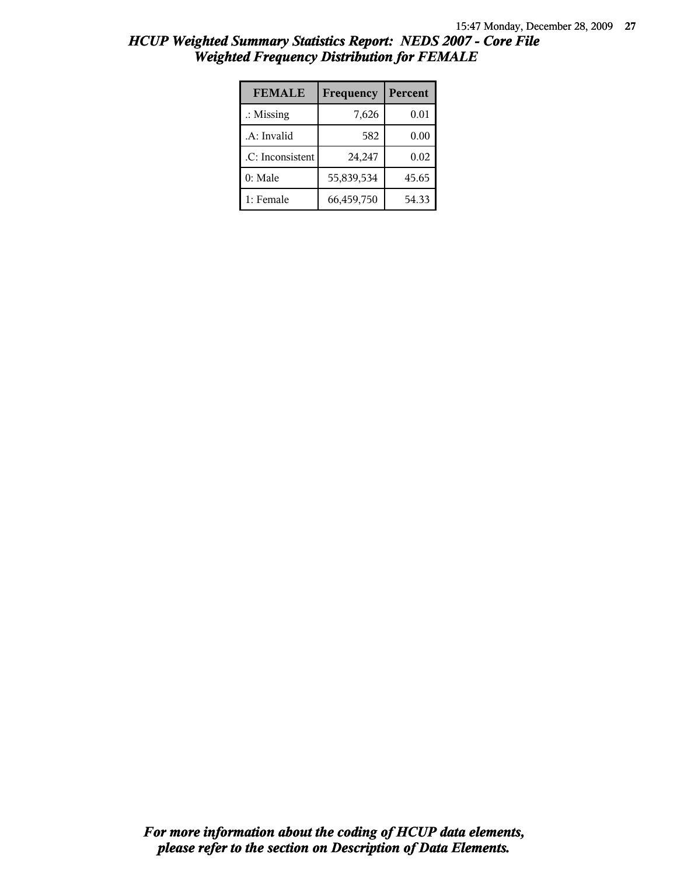| <b>FEMALE</b>        | Frequency  | Percent |
|----------------------|------------|---------|
| $\therefore$ Missing | 7,626      | 0.01    |
| .A: Invalid          | 582        | 0.00    |
| .C: Inconsistent     | 24,247     | 0.02    |
| 0: Male              | 55,839,534 | 45.65   |
| 1: Female            | 66,459,750 | 54.33   |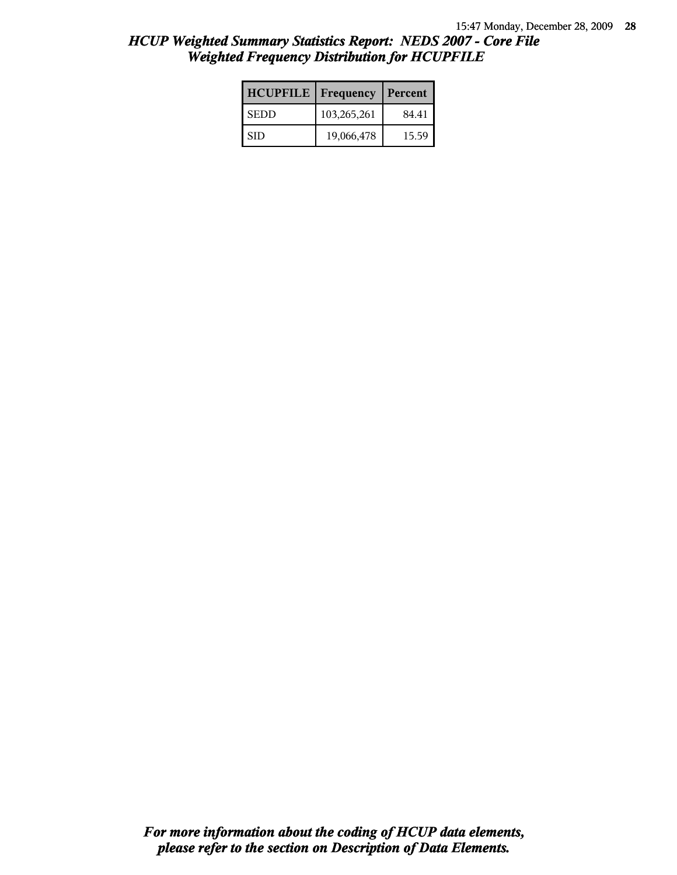| <b>HCUPFILE</b>   Frequency |             | Percent |
|-----------------------------|-------------|---------|
| l SEDD                      | 103,265,261 | 84.41   |
| -SID                        | 19,066,478  | 15.59   |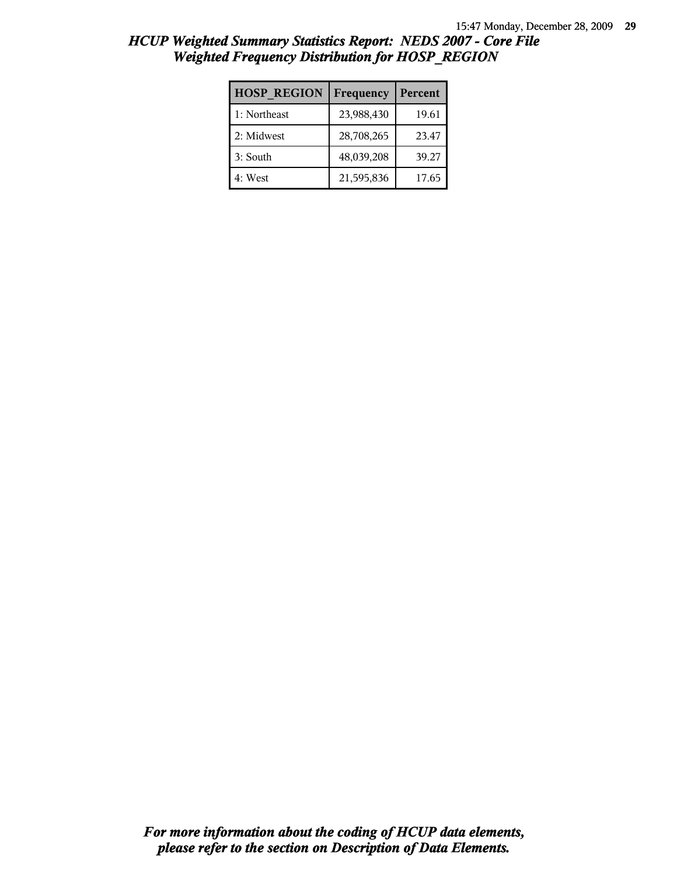| <b>HOSP REGION</b> | Frequency  | Percent |
|--------------------|------------|---------|
| 1: Northeast       | 23,988,430 | 19.61   |
| 2: Midwest         | 28,708,265 | 23.47   |
| 3: South           | 48,039,208 | 39.27   |
| 4: West            | 21,595,836 | 17.65   |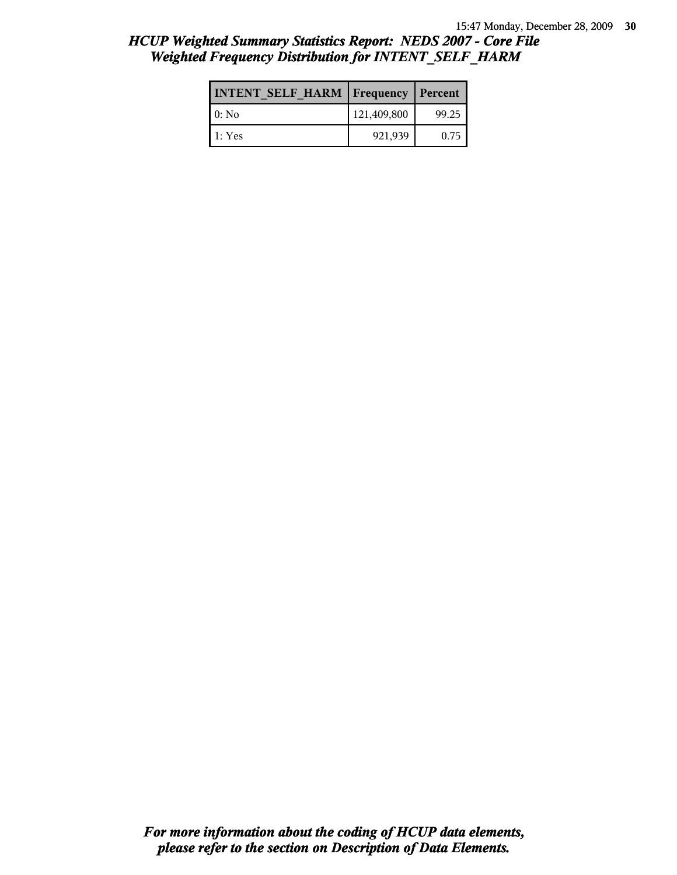| <b>INTENT SELF HARM   Frequency</b> |             | Percent |
|-------------------------------------|-------------|---------|
| $0:$ No                             | 121,409,800 | 99.25   |
| 1: Yes                              | 921,939     | 0.75    |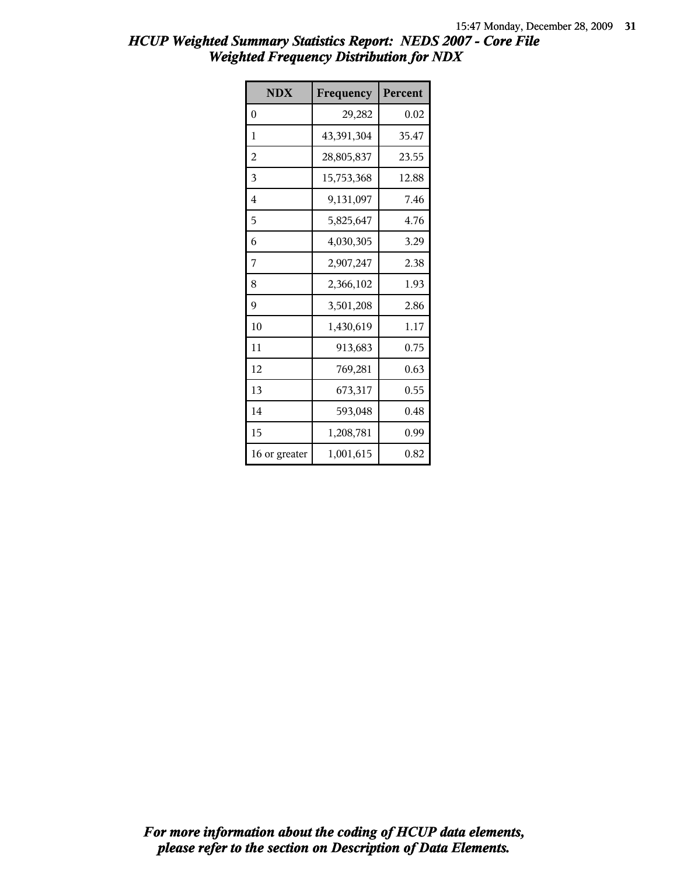| <b>NDX</b>    | Frequency  | Percent |
|---------------|------------|---------|
| $\theta$      | 29,282     | 0.02    |
| 1             | 43,391,304 | 35.47   |
| 2             | 28,805,837 | 23.55   |
| 3             | 15,753,368 | 12.88   |
| 4             | 9,131,097  | 7.46    |
| 5             | 5,825,647  | 4.76    |
| 6             | 4,030,305  | 3.29    |
| 7             | 2,907,247  | 2.38    |
| 8             | 2,366,102  | 1.93    |
| 9             | 3,501,208  | 2.86    |
| 10            | 1,430,619  | 1.17    |
| 11            | 913,683    | 0.75    |
| 12            | 769,281    | 0.63    |
| 13            | 673,317    | 0.55    |
| 14            | 593,048    | 0.48    |
| 15            | 1,208,781  | 0.99    |
| 16 or greater | 1,001,615  | 0.82    |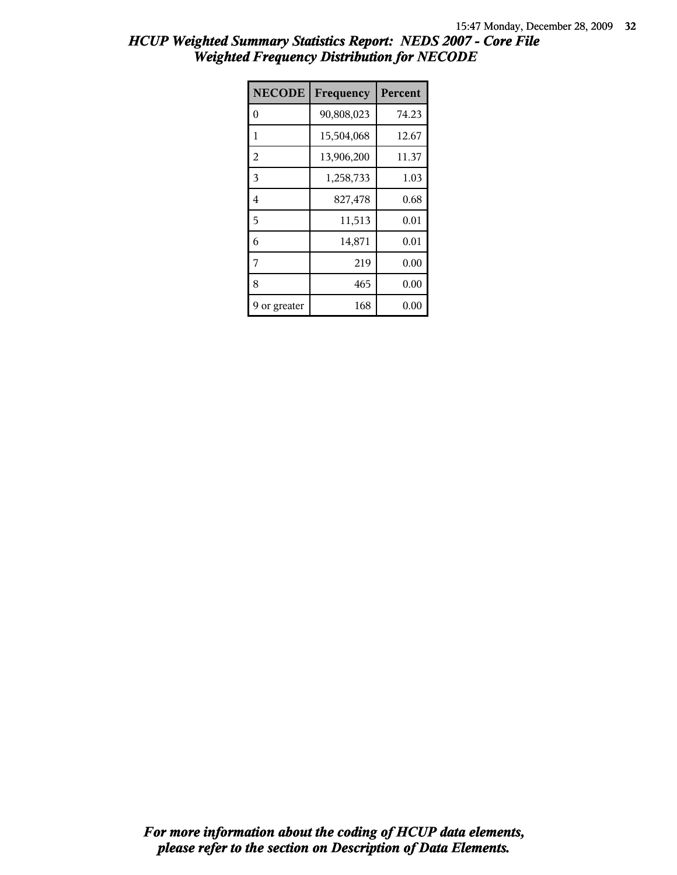| <b>NECODE</b>  | Frequency  | <b>Percent</b> |
|----------------|------------|----------------|
| 0              | 90,808,023 | 74.23          |
| 1              | 15,504,068 | 12.67          |
| $\overline{2}$ | 13,906,200 | 11.37          |
| 3              | 1,258,733  | 1.03           |
| 4              | 827,478    | 0.68           |
| 5              | 11,513     | 0.01           |
| 6              | 14,871     | 0.01           |
| 7              | 219        | 0.00           |
| 8              | 465        | 0.00           |
| or greater     | 168        | 0.00           |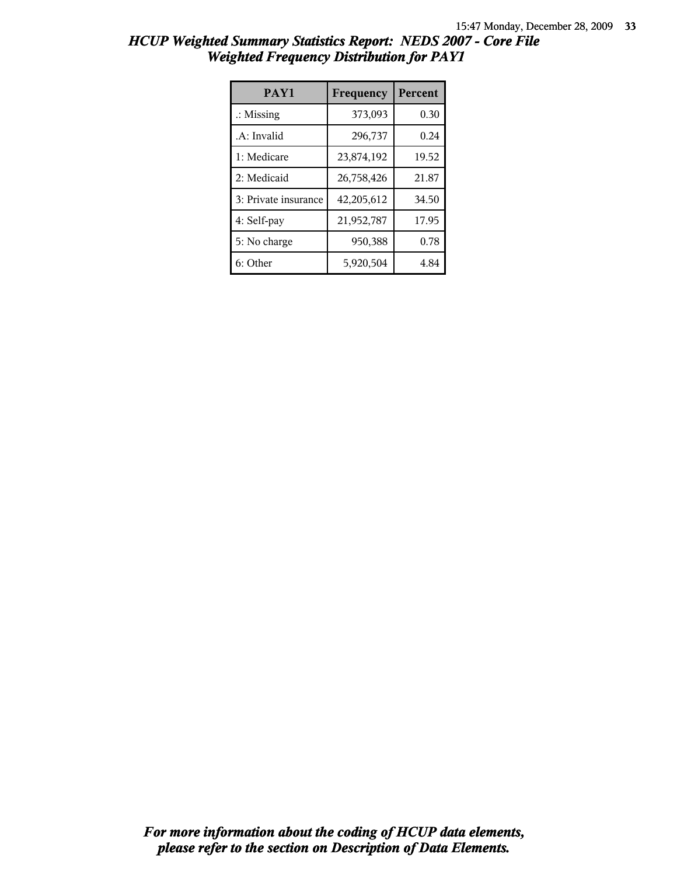| HCUP Weighted Summary Statistics Report: NEDS 2007 - Core File |                                                 |  |
|----------------------------------------------------------------|-------------------------------------------------|--|
|                                                                | <b>Weighted Frequency Distribution for PAY1</b> |  |

| PAY1                 | Frequency  | <b>Percent</b> |
|----------------------|------------|----------------|
| $\therefore$ Missing | 373,093    | 0.30           |
| .A: Invalid          | 296,737    | 0.24           |
| 1: Medicare          | 23,874,192 | 19.52          |
| 2: Medicaid          | 26,758,426 | 21.87          |
| 3: Private insurance | 42,205,612 | 34.50          |
| 4: Self-pay          | 21,952,787 | 17.95          |
| 5: No charge         | 950,388    | 0.78           |
| 6: Other             | 5,920,504  | 4.84           |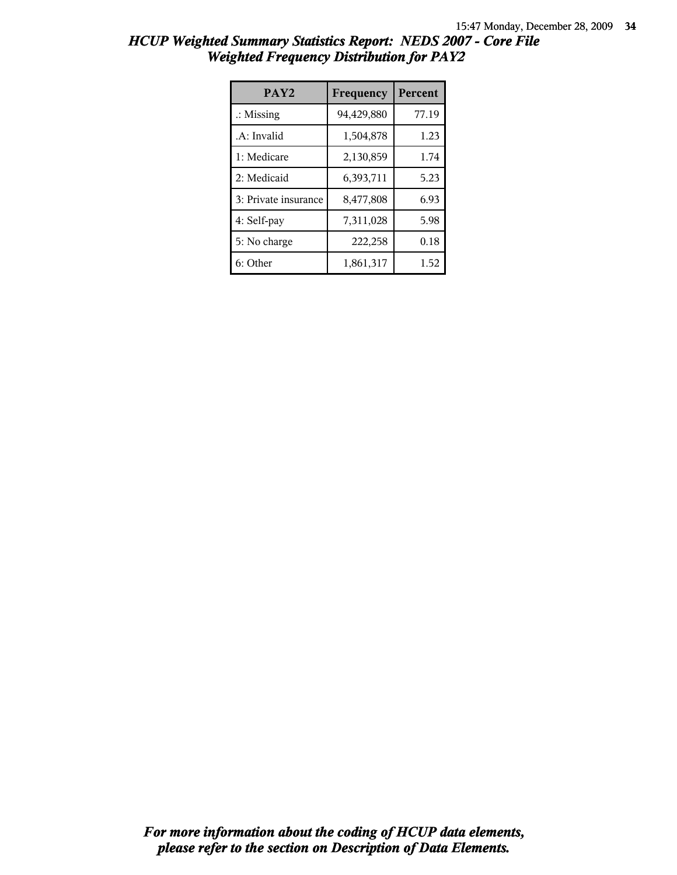| HCUP Weighted Summary Statistics Report: NEDS 2007 - Core File |  |
|----------------------------------------------------------------|--|
| <b>Weighted Frequency Distribution for PAY2</b>                |  |

| PAY <sub>2</sub>     | Frequency  | <b>Percent</b> |
|----------------------|------------|----------------|
| $\therefore$ Missing | 94,429,880 | 77.19          |
| .A: Invalid          | 1,504,878  | 1.23           |
| 1: Medicare          | 2,130,859  | 1.74           |
| 2: Medicaid          | 6,393,711  | 5.23           |
| 3: Private insurance | 8,477,808  | 6.93           |
| 4: Self-pay          | 7,311,028  | 5.98           |
| 5: No charge         | 222,258    | 0.18           |
| 6: Other             | 1,861,317  | 1.52           |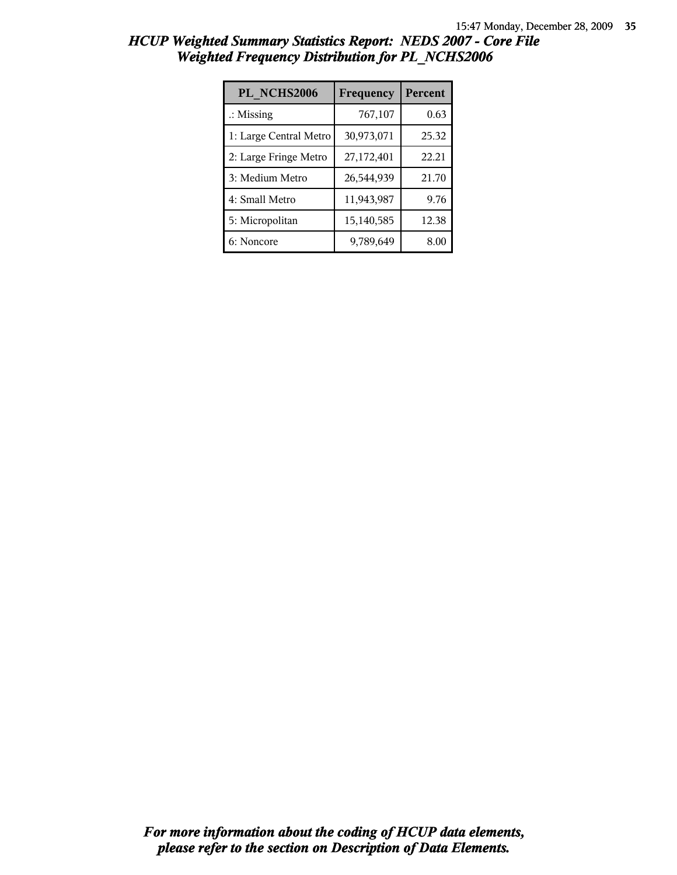| PL NCHS2006            | Frequency  | Percent |
|------------------------|------------|---------|
| $\therefore$ Missing   | 767,107    | 0.63    |
| 1: Large Central Metro | 30,973,071 | 25.32   |
| 2: Large Fringe Metro  | 27,172,401 | 22.21   |
| 3: Medium Metro        | 26,544,939 | 21.70   |
| 4: Small Metro         | 11,943,987 | 9.76    |
| 5: Micropolitan        | 15,140,585 | 12.38   |
| 6: Noncore             | 9,789,649  | 8.00    |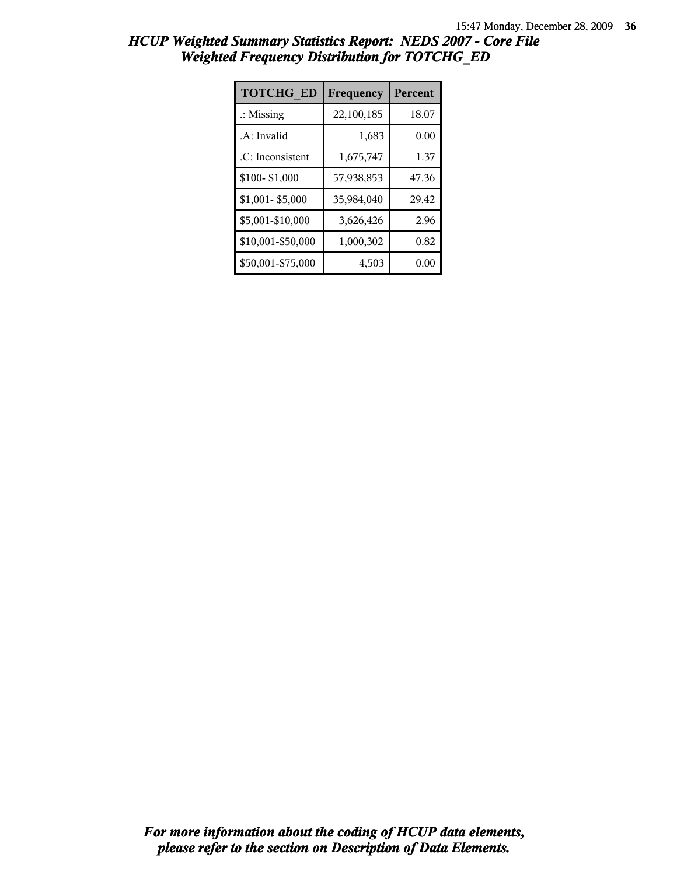| <b>TOTCHG ED</b>     | Frequency  | Percent |
|----------------------|------------|---------|
| $\therefore$ Missing | 22,100,185 | 18.07   |
| .A: Invalid          | 1,683      | 0.00    |
| .C: Inconsistent     | 1,675,747  | 1.37    |
| \$100-\$1,000        | 57,938,853 | 47.36   |
| \$1,001-\$5,000      | 35,984,040 | 29.42   |
| \$5,001-\$10,000     | 3,626,426  | 2.96    |
| \$10,001-\$50,000    | 1,000,302  | 0.82    |
| \$50,001-\$75,000    | 4,503      | 0.00    |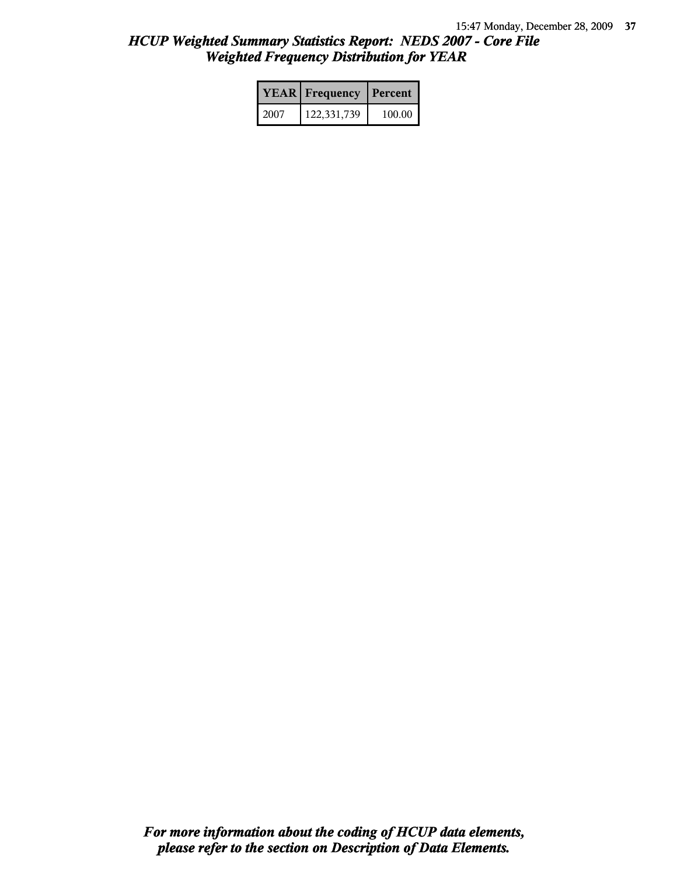|      | <b>YEAR</b> Frequency | Percent |  |
|------|-----------------------|---------|--|
| 2007 | 122,331,739           | 100.00  |  |